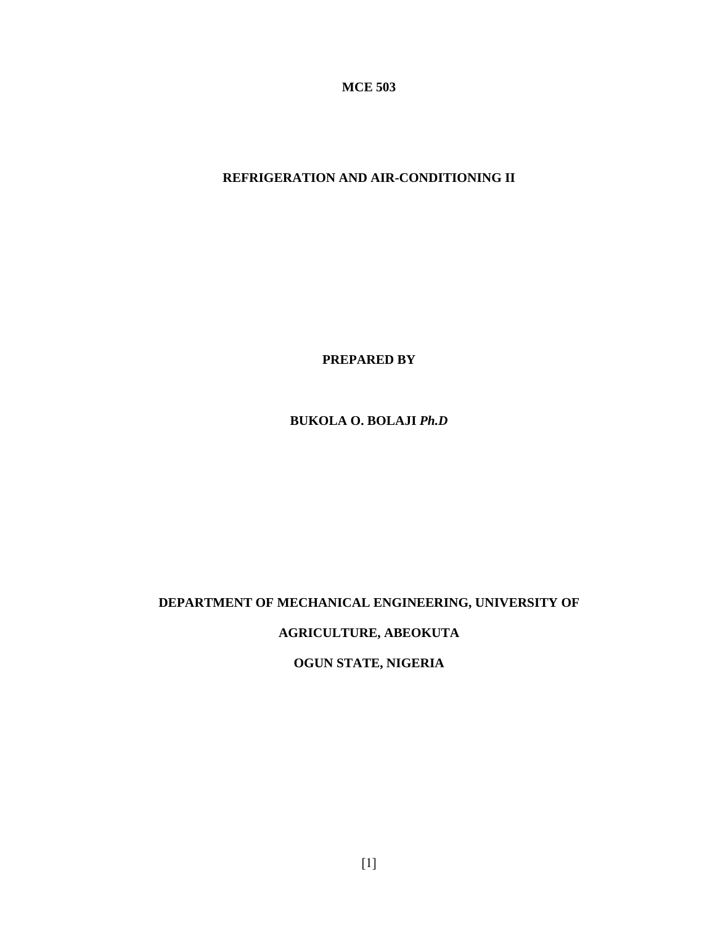**MCE 503** 

# **REFRIGERATION AND AIR-CONDITIONING II**

**PREPARED BY**

**BUKOLA O. BOLAJI** *Ph.D*

# **DEPARTMENT OF MECHANICAL ENGINEERING, UNIVERSITY OF**

**AGRICULTURE, ABEOKUTA** 

**OGUN STATE, NIGERIA**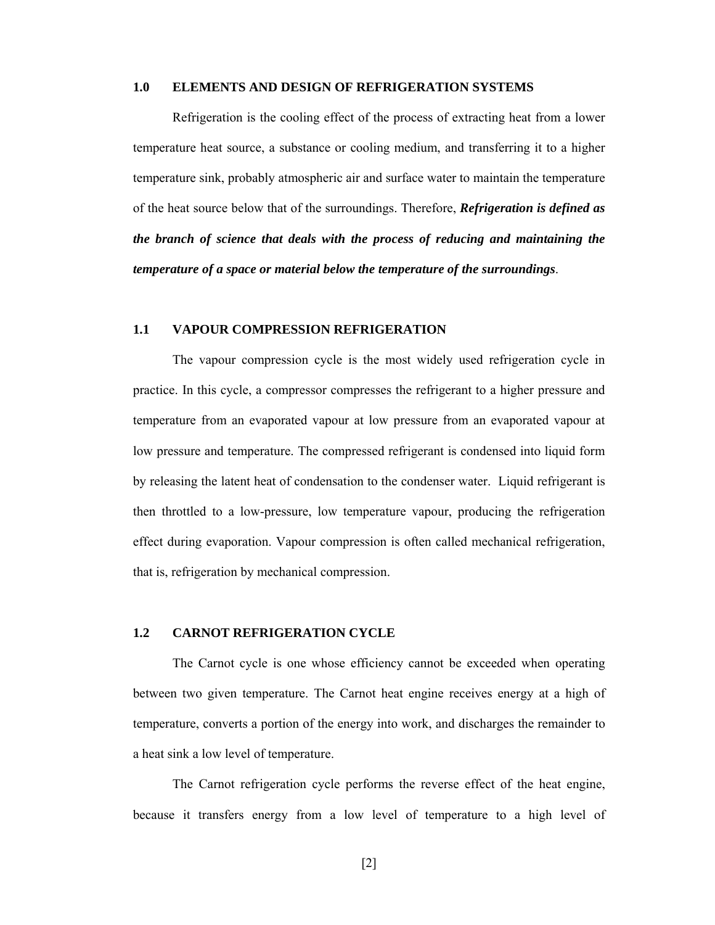#### **1.0 ELEMENTS AND DESIGN OF REFRIGERATION SYSTEMS**

Refrigeration is the cooling effect of the process of extracting heat from a lower temperature heat source, a substance or cooling medium, and transferring it to a higher temperature sink, probably atmospheric air and surface water to maintain the temperature of the heat source below that of the surroundings. Therefore, *Refrigeration is defined as the branch of science that deals with the process of reducing and maintaining the temperature of a space or material below the temperature of the surroundings*.

### **1.1 VAPOUR COMPRESSION REFRIGERATION**

The vapour compression cycle is the most widely used refrigeration cycle in practice. In this cycle, a compressor compresses the refrigerant to a higher pressure and temperature from an evaporated vapour at low pressure from an evaporated vapour at low pressure and temperature. The compressed refrigerant is condensed into liquid form by releasing the latent heat of condensation to the condenser water. Liquid refrigerant is then throttled to a low-pressure, low temperature vapour, producing the refrigeration effect during evaporation. Vapour compression is often called mechanical refrigeration, that is, refrigeration by mechanical compression.

### **1.2 CARNOT REFRIGERATION CYCLE**

The Carnot cycle is one whose efficiency cannot be exceeded when operating between two given temperature. The Carnot heat engine receives energy at a high of temperature, converts a portion of the energy into work, and discharges the remainder to a heat sink a low level of temperature.

The Carnot refrigeration cycle performs the reverse effect of the heat engine, because it transfers energy from a low level of temperature to a high level of

[2]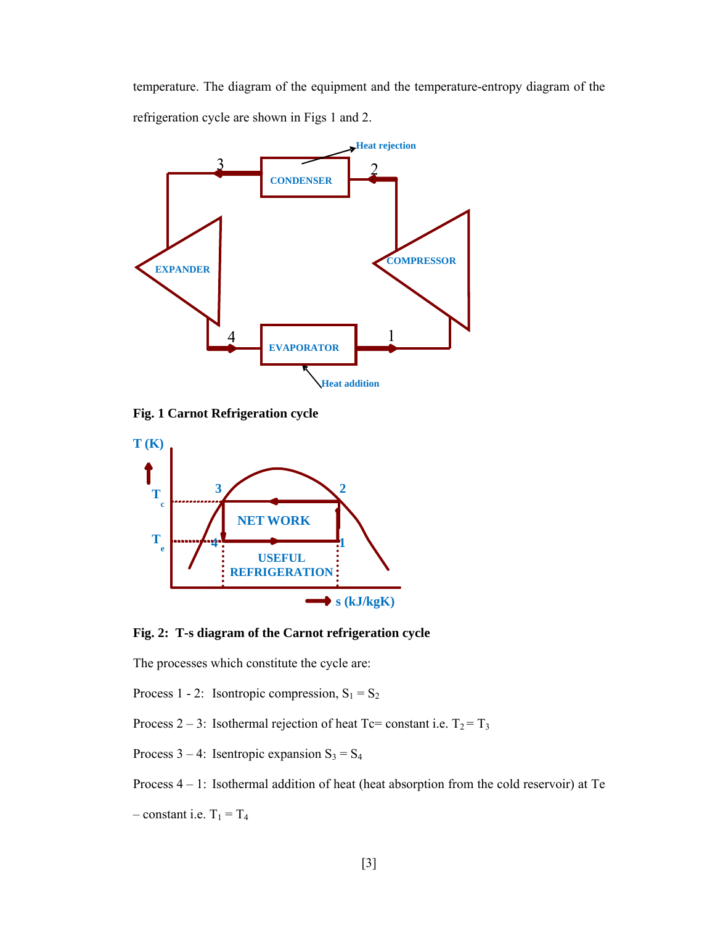temperature. The diagram of the equipment and the temperature-entropy diagram of the refrigeration cycle are shown in Figs 1 and 2.



**Fig. 1 Carnot Refrigeration cycle** 



**Fig. 2: T-s diagram of the Carnot refrigeration cycle** 

The processes which constitute the cycle are:

Process 1 - 2: Isontropic compression,  $S_1 = S_2$ 

Process 2 – 3: Isothermal rejection of heat Tc= constant i.e.  $T_2 = T_3$ 

Process  $3 - 4$ : Isentropic expansion  $S_3 = S_4$ 

Process 4 – 1: Isothermal addition of heat (heat absorption from the cold reservoir) at Te

– constant i.e.  $T_1 = T_4$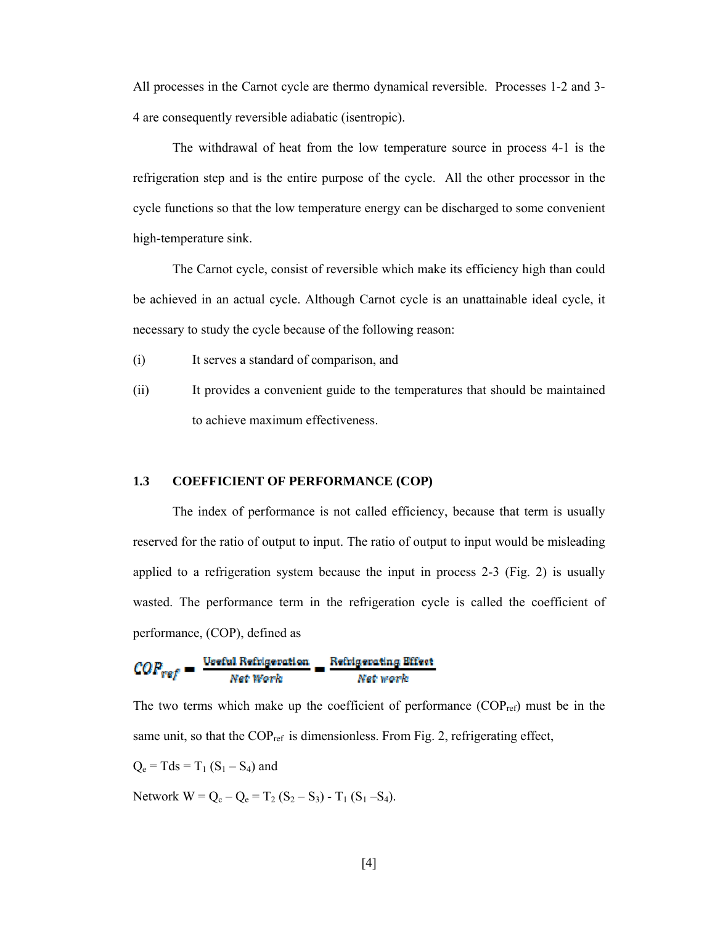All processes in the Carnot cycle are thermo dynamical reversible. Processes 1-2 and 3- 4 are consequently reversible adiabatic (isentropic).

The withdrawal of heat from the low temperature source in process 4-1 is the refrigeration step and is the entire purpose of the cycle. All the other processor in the cycle functions so that the low temperature energy can be discharged to some convenient high-temperature sink.

The Carnot cycle, consist of reversible which make its efficiency high than could be achieved in an actual cycle. Although Carnot cycle is an unattainable ideal cycle, it necessary to study the cycle because of the following reason:

- (i) It serves a standard of comparison, and
- (ii) It provides a convenient guide to the temperatures that should be maintained to achieve maximum effectiveness.

## **1.3 COEFFICIENT OF PERFORMANCE (COP)**

The index of performance is not called efficiency, because that term is usually reserved for the ratio of output to input. The ratio of output to input would be misleading applied to a refrigeration system because the input in process 2-3 (Fig. 2) is usually wasted. The performance term in the refrigeration cycle is called the coefficient of performance, (COP), defined as

$$
COP_{ref} = \frac{\text{Veeful Refulgeration}}{\text{Net Work}} = \frac{\text{Refulgerating Effect}}{\text{Net Work}}
$$

The two terms which make up the coefficient of performance  $(COP_{ref})$  must be in the same unit, so that the  $COP_{ref}$  is dimensionless. From Fig. 2, refrigerating effect,

$$
Q_e = Tds = T_1 (S_1 - S_4)
$$
 and

Network  $W = Q_c - Q_e = T_2 (S_2 - S_3) - T_1 (S_1 - S_4)$ .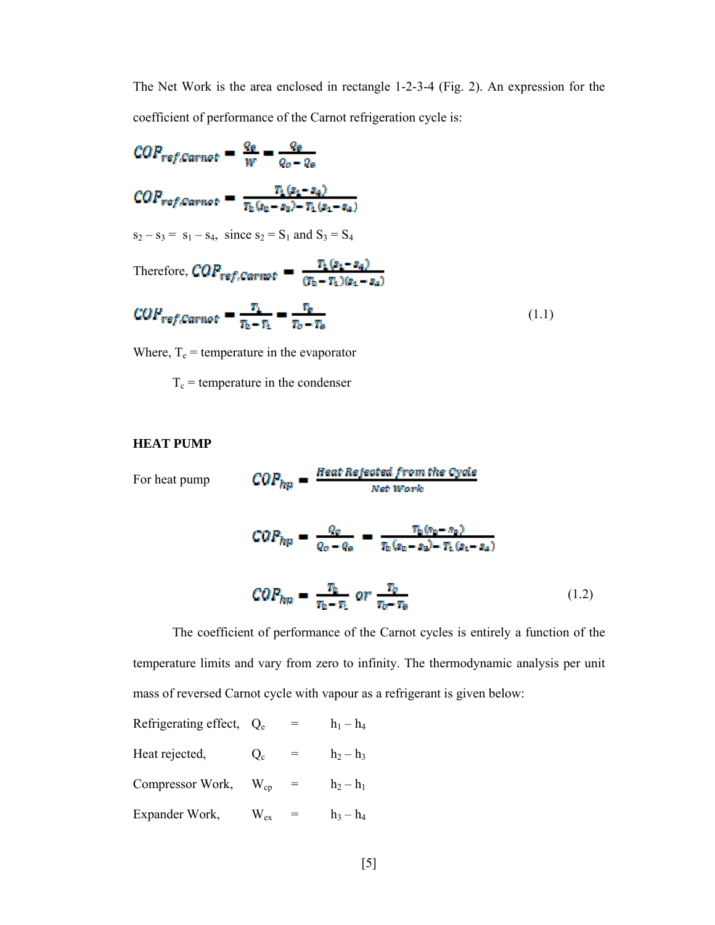The Net Work is the area enclosed in rectangle 1-2-3-4 (Fig. 2). An expression for the coefficient of performance of the Carnot refrigeration cycle is:

$$
COP_{ref, Carnot} = \frac{q_{\theta}}{W} = \frac{q_{\theta}}{q_{\theta} - q_{\theta}}
$$
  
\n
$$
COP_{ref, Carnot} = \frac{T_1(s_1 - s_4)}{T_2(s_2 - s_3) - T_1(s_1 - s_4)}
$$
  
\n
$$
s_2 - s_3 = s_1 - s_4, \text{ since } s_2 = S_1 \text{ and } S_3 = S_4
$$
  
\nTherefore, 
$$
COP_{ref, Carnot} = \frac{T_1(s_1 - s_4)}{(T_2 - T_1)(s_1 - s_4)}
$$
  
\n
$$
COP_{ref, Carnot} = \frac{T_1}{T_2 - T_4} = \frac{T_3}{T_0 - T_6}
$$
  
\n(1.1)

Where,  $T_e$  = temperature in the evaporator

 $T_c$  = temperature in the condenser

# **HEAT PUMP**

 $COP_{hp} = \frac{Heat\ Rejected\ from\ the\ Cycle}{Net\ Work}$ For heat pump

$$
COP_{hp} = \frac{q_o}{q_o - q_o} = \frac{\tau_b (s_b - s_b)}{\tau_b (s_b - s_b) - \tau_b (s_b - s_a)}
$$

$$
COP_{hp} = \frac{\tau_b}{\tau_b - \tau_b} \quad or \quad \frac{\tau_o}{\tau_b - \tau_b} \tag{1.2}
$$

The coefficient of performance of the Carnot cycles is entirely a function of the temperature limits and vary from zero to infinity. The thermodynamic analysis per unit mass of reversed Carnot cycle with vapour as a refrigerant is given below:

Refrigerating effect, 
$$
Q_e
$$
 =  $h_1 - h_4$   
\nHeat rejected,  $Q_c$  =  $h_2 - h_3$   
\nCompressor Work,  $W_{cp}$  =  $h_2 - h_1$   
\nExpander Work,  $W_{ex}$  =  $h_3 - h_4$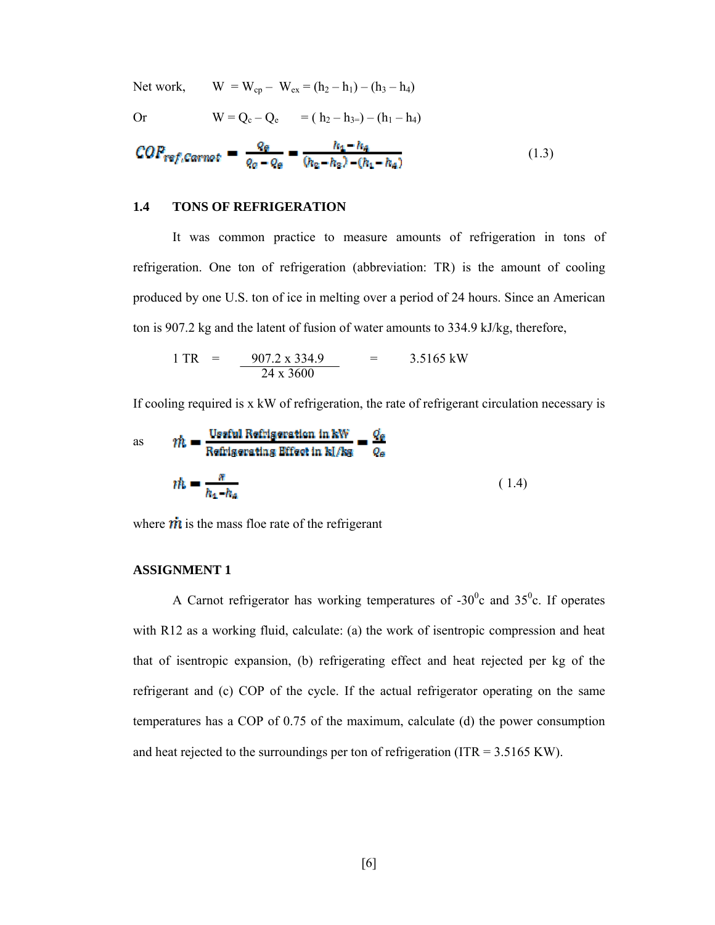Net work,

\n
$$
W = W_{cp} - W_{ex} = (h_2 - h_1) - (h_3 - h_4)
$$
\nOr

\n
$$
W = Q_c - Q_e \qquad = (h_2 - h_3) - (h_1 - h_4)
$$

$$
COP_{ref, Carnot} = \frac{q_e}{q_o - q_e} = \frac{h_4 - h_4}{(h_2 - h_2) - (h_1 - h_4)}
$$
(1.3)

#### **1.4 TONS OF REFRIGERATION**

It was common practice to measure amounts of refrigeration in tons of refrigeration. One ton of refrigeration (abbreviation: TR) is the amount of cooling produced by one U.S. ton of ice in melting over a period of 24 hours. Since an American ton is 907.2 kg and the latent of fusion of water amounts to 334.9 kJ/kg, therefore,

$$
1 TR = \frac{907.2 \times 334.9}{24 \times 3600} = 3.5165 \text{ kW}
$$

If cooling required is x kW of refrigeration, the rate of refrigerant circulation necessary is

as 
$$
m = \frac{\text{Using equation in kW}}{\text{Refrigersing Effect in k} / \text{kg}} = \frac{q_e}{q_e}
$$

$$
m = \frac{n}{h_4 - h_4}
$$
(1.4)

where  $\dot{m}$  is the mass floe rate of the refrigerant

#### **ASSIGNMENT 1**

A Carnot refrigerator has working temperatures of  $-30^{\circ}$ c and  $35^{\circ}$ c. If operates with R12 as a working fluid, calculate: (a) the work of isentropic compression and heat that of isentropic expansion, (b) refrigerating effect and heat rejected per kg of the refrigerant and (c) COP of the cycle. If the actual refrigerator operating on the same temperatures has a COP of 0.75 of the maximum, calculate (d) the power consumption and heat rejected to the surroundings per ton of refrigeration ( $ITR = 3.5165$  KW).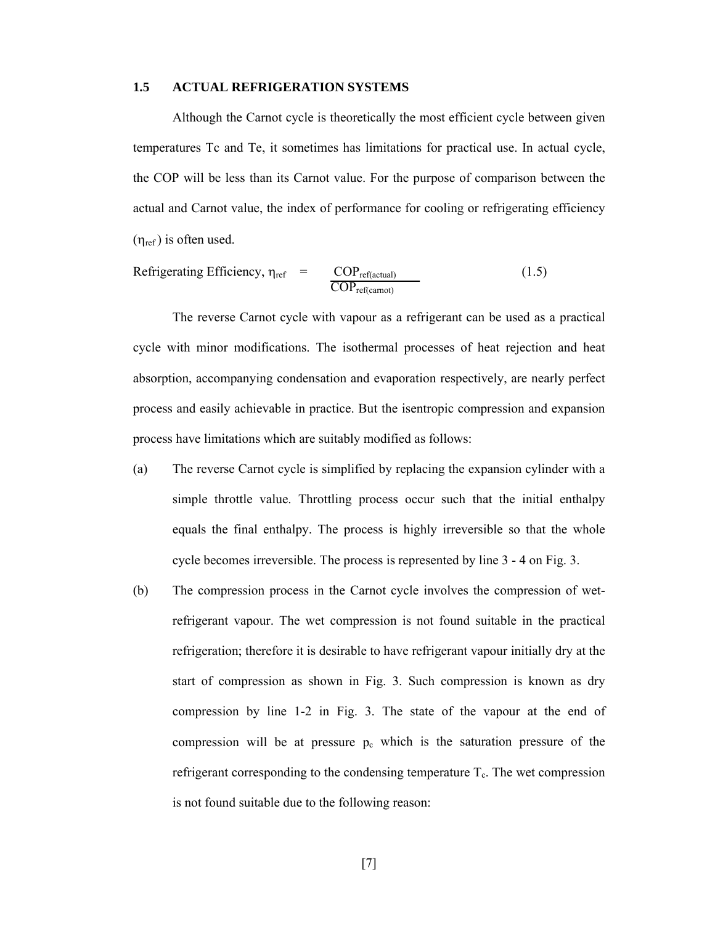#### **1.5 ACTUAL REFRIGERATION SYSTEMS**

 Although the Carnot cycle is theoretically the most efficient cycle between given temperatures Tc and Te, it sometimes has limitations for practical use. In actual cycle, the COP will be less than its Carnot value. For the purpose of comparison between the actual and Carnot value, the index of performance for cooling or refrigerating efficiency  $(\eta_{ref})$  is often used.

Refrigerating Efficiency, 
$$
\eta_{ref} = \frac{COP_{ref(actual)}}{COP_{ref(cannot)}}
$$
 (1.5)

The reverse Carnot cycle with vapour as a refrigerant can be used as a practical cycle with minor modifications. The isothermal processes of heat rejection and heat absorption, accompanying condensation and evaporation respectively, are nearly perfect process and easily achievable in practice. But the isentropic compression and expansion process have limitations which are suitably modified as follows:

- (a) The reverse Carnot cycle is simplified by replacing the expansion cylinder with a simple throttle value. Throttling process occur such that the initial enthalpy equals the final enthalpy. The process is highly irreversible so that the whole cycle becomes irreversible. The process is represented by line 3 - 4 on Fig. 3.
- (b) The compression process in the Carnot cycle involves the compression of wetrefrigerant vapour. The wet compression is not found suitable in the practical refrigeration; therefore it is desirable to have refrigerant vapour initially dry at the start of compression as shown in Fig. 3. Such compression is known as dry compression by line 1-2 in Fig. 3. The state of the vapour at the end of compression will be at pressure  $p_c$  which is the saturation pressure of the refrigerant corresponding to the condensing temperature  $T_c$ . The wet compression is not found suitable due to the following reason: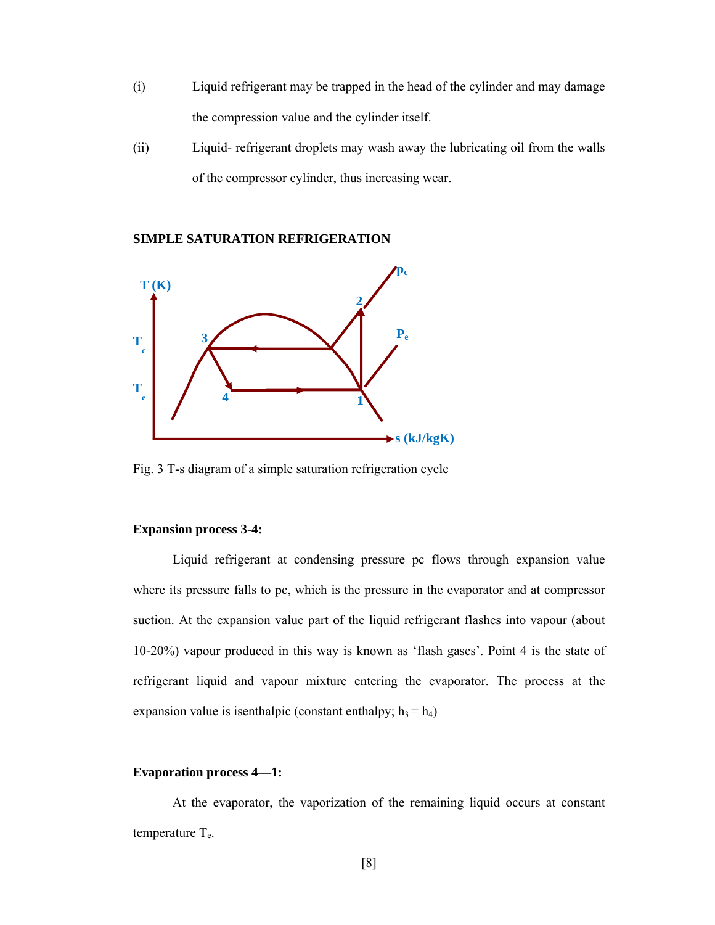- (i) Liquid refrigerant may be trapped in the head of the cylinder and may damage the compression value and the cylinder itself.
- (ii) Liquid- refrigerant droplets may wash away the lubricating oil from the walls of the compressor cylinder, thus increasing wear.



**SIMPLE SATURATION REFRIGERATION** 

Fig. 3 T-s diagram of a simple saturation refrigeration cycle

## **Expansion process 3-4:**

 Liquid refrigerant at condensing pressure pc flows through expansion value where its pressure falls to pc, which is the pressure in the evaporator and at compressor suction. At the expansion value part of the liquid refrigerant flashes into vapour (about 10-20%) vapour produced in this way is known as 'flash gases'. Point 4 is the state of refrigerant liquid and vapour mixture entering the evaporator. The process at the expansion value is isenthalpic (constant enthalpy;  $h_3 = h_4$ )

## **Evaporation process 4—1:**

 At the evaporator, the vaporization of the remaining liquid occurs at constant temperature  $T_e$ .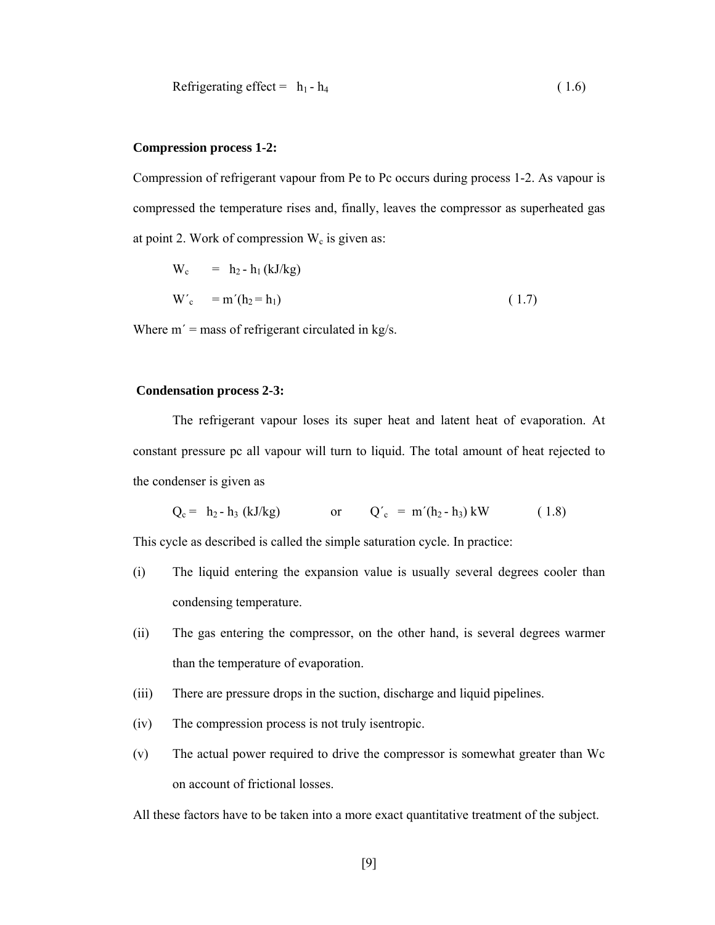Refrigerating effect = 
$$
h_1 - h_4
$$
 (1.6)

## **Compression process 1-2:**

Compression of refrigerant vapour from Pe to Pc occurs during process 1-2. As vapour is compressed the temperature rises and, finally, leaves the compressor as superheated gas at point 2. Work of compression  $W_c$  is given as:

$$
W_c = h_2 - h_1 (kJ/kg)
$$
  
\n
$$
W_c' = m'(h_2 = h_1)
$$
 (1.7)

Where  $m'$  = mass of refrigerant circulated in kg/s.

#### **Condensation process 2-3:**

 The refrigerant vapour loses its super heat and latent heat of evaporation. At constant pressure pc all vapour will turn to liquid. The total amount of heat rejected to the condenser is given as

$$
Q_c = h_2 - h_3 (kJ/kg) \qquad \text{or} \qquad Q'_c = m'(h_2 - h_3) kW \qquad (1.8)
$$

This cycle as described is called the simple saturation cycle. In practice:

- (i) The liquid entering the expansion value is usually several degrees cooler than condensing temperature.
- (ii) The gas entering the compressor, on the other hand, is several degrees warmer than the temperature of evaporation.
- (iii) There are pressure drops in the suction, discharge and liquid pipelines.
- (iv) The compression process is not truly isentropic.
- (v) The actual power required to drive the compressor is somewhat greater than Wc on account of frictional losses.

All these factors have to be taken into a more exact quantitative treatment of the subject.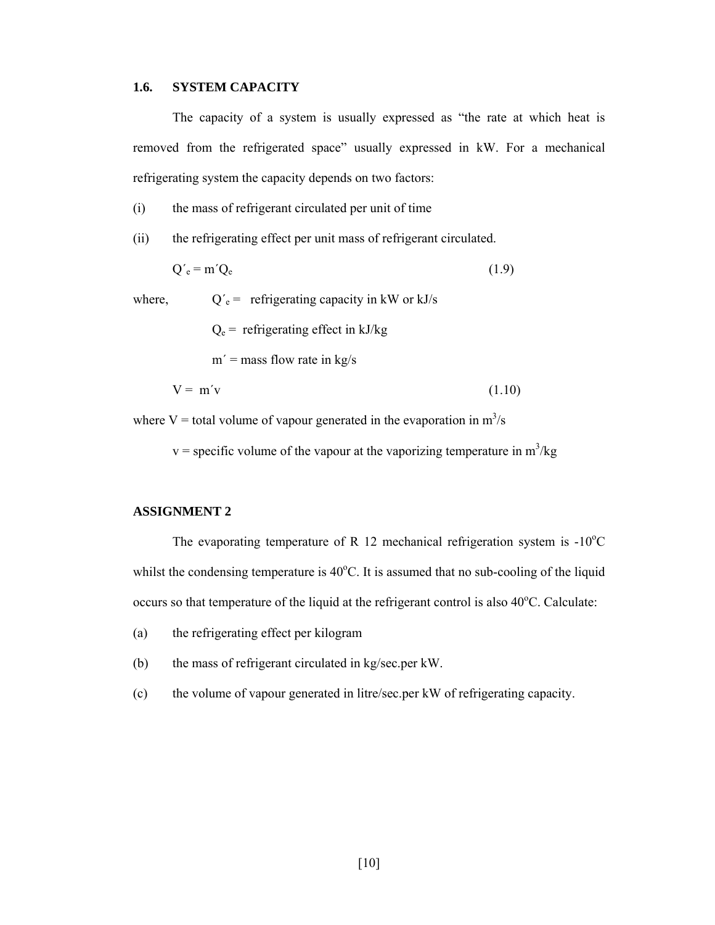## **1.6. SYSTEM CAPACITY**

The capacity of a system is usually expressed as "the rate at which heat is removed from the refrigerated space" usually expressed in kW. For a mechanical refrigerating system the capacity depends on two factors:

(i) the mass of refrigerant circulated per unit of time

(ii) the refrigerating effect per unit mass of refrigerant circulated.

$$
Q'_{e} = m'Q_{e}
$$
 (1.9)

where,  $Q'_e$  = refrigerating capacity in kW or kJ/s

 $Q_e$  = refrigerating effect in kJ/kg

 $m'$  = mass flow rate in kg/s

$$
V = m'v \tag{1.10}
$$

where V = total volume of vapour generated in the evaporation in  $m^3/s$ 

 $v =$  specific volume of the vapour at the vaporizing temperature in  $m^3/kg$ 

## **ASSIGNMENT 2**

The evaporating temperature of R 12 mechanical refrigeration system is  $-10^{\circ}$ C whilst the condensing temperature is  $40^{\circ}$ C. It is assumed that no sub-cooling of the liquid occurs so that temperature of the liquid at the refrigerant control is also 40°C. Calculate:

- (a) the refrigerating effect per kilogram
- (b) the mass of refrigerant circulated in kg/sec.per kW.
- (c) the volume of vapour generated in litre/sec.per kW of refrigerating capacity.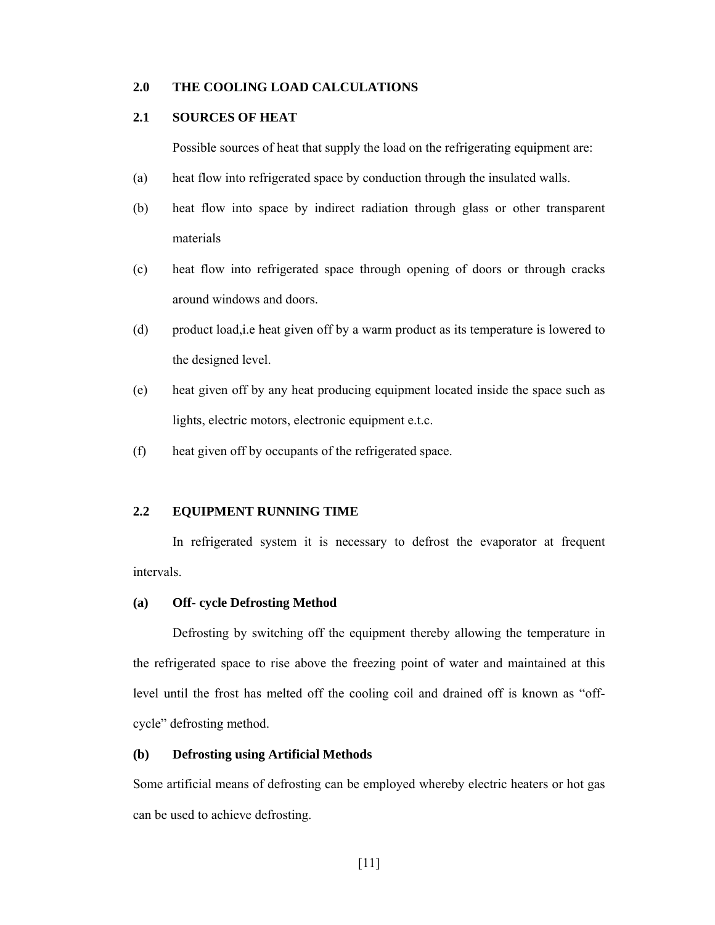## **2.0 THE COOLING LOAD CALCULATIONS**

## **2.1 SOURCES OF HEAT**

Possible sources of heat that supply the load on the refrigerating equipment are:

- (a) heat flow into refrigerated space by conduction through the insulated walls.
- (b) heat flow into space by indirect radiation through glass or other transparent materials
- (c) heat flow into refrigerated space through opening of doors or through cracks around windows and doors.
- (d) product load,i.e heat given off by a warm product as its temperature is lowered to the designed level.
- (e) heat given off by any heat producing equipment located inside the space such as lights, electric motors, electronic equipment e.t.c.
- (f) heat given off by occupants of the refrigerated space.

## **2.2 EQUIPMENT RUNNING TIME**

In refrigerated system it is necessary to defrost the evaporator at frequent intervals.

#### **(a) Off- cycle Defrosting Method**

 Defrosting by switching off the equipment thereby allowing the temperature in the refrigerated space to rise above the freezing point of water and maintained at this level until the frost has melted off the cooling coil and drained off is known as "offcycle" defrosting method.

## **(b) Defrosting using Artificial Methods**

Some artificial means of defrosting can be employed whereby electric heaters or hot gas can be used to achieve defrosting.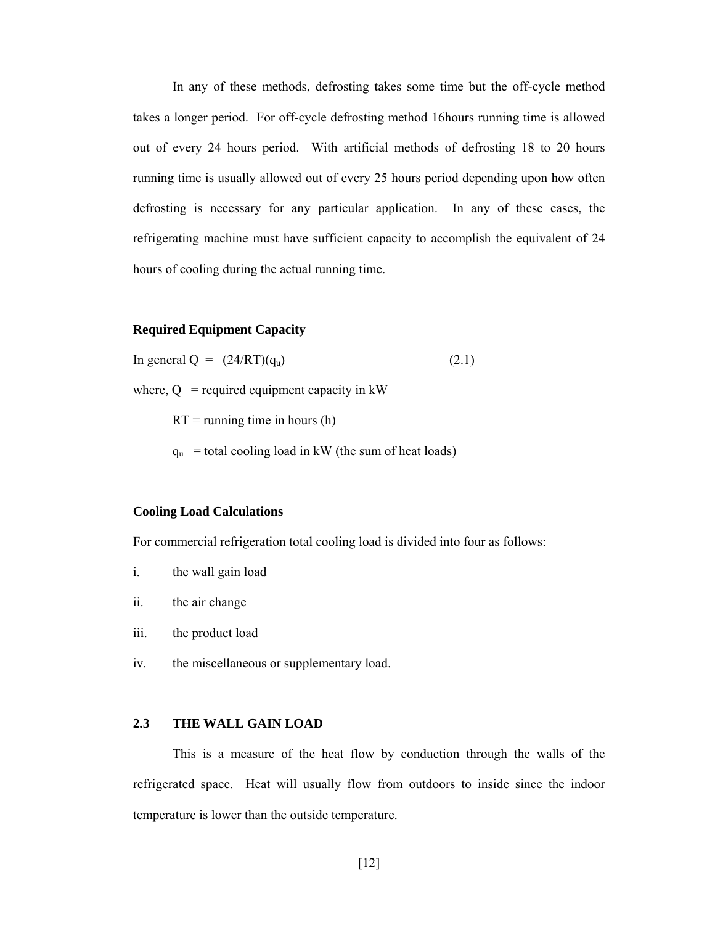In any of these methods, defrosting takes some time but the off-cycle method takes a longer period. For off-cycle defrosting method 16hours running time is allowed out of every 24 hours period. With artificial methods of defrosting 18 to 20 hours running time is usually allowed out of every 25 hours period depending upon how often defrosting is necessary for any particular application. In any of these cases, the refrigerating machine must have sufficient capacity to accomplish the equivalent of 24 hours of cooling during the actual running time.

## **Required Equipment Capacity**

In general  $Q = (24/RT)(q_u)$  (2.1)

where,  $Q =$  required equipment capacity in kW

 $RT =$  running time in hours (h)

 $q_u$  = total cooling load in kW (the sum of heat loads)

#### **Cooling Load Calculations**

For commercial refrigeration total cooling load is divided into four as follows:

- i. the wall gain load
- ii. the air change
- iii. the product load
- iv. the miscellaneous or supplementary load.

## **2.3 THE WALL GAIN LOAD**

This is a measure of the heat flow by conduction through the walls of the refrigerated space. Heat will usually flow from outdoors to inside since the indoor temperature is lower than the outside temperature.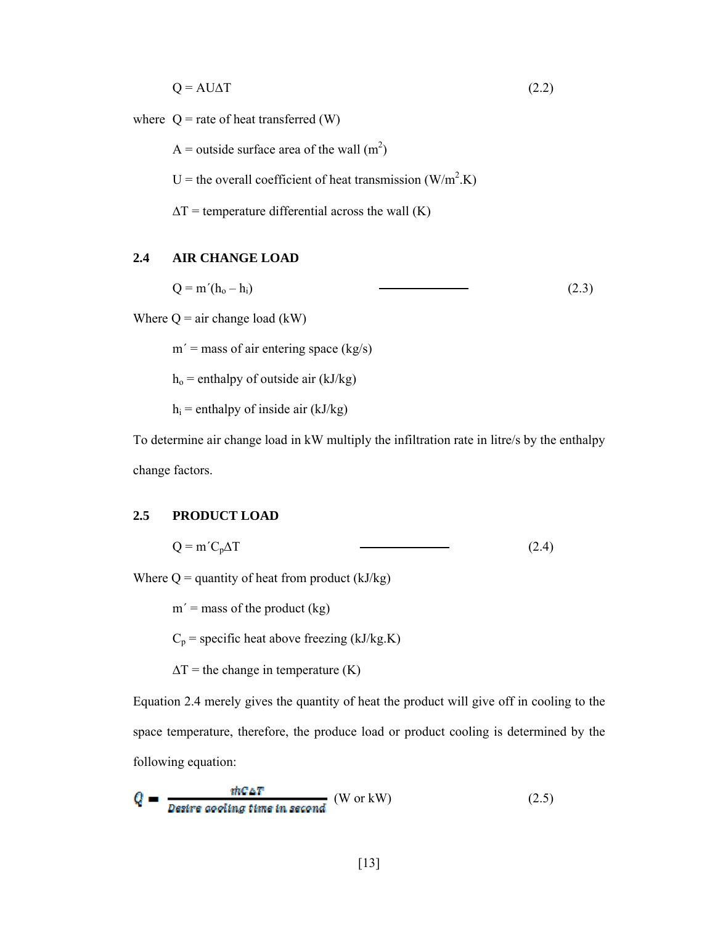$Q = AUAT$  (2.2)

where  $Q$  = rate of heat transferred (W)

A = outside surface area of the wall  $(m^2)$ 

U = the overall coefficient of heat transmission  $(W/m^2.K)$ 

 $\Delta T$  = temperature differential across the wall (K)

# **2.4 AIR CHANGE LOAD**

 $Q = m'(h_0 - h_i)$  (2.3)

Where  $Q = \text{air change load (kW)}$ 

 $m'$  = mass of air entering space (kg/s)

 $h<sub>o</sub>$  = enthalpy of outside air (kJ/kg)

 $h_i$  = enthalpy of inside air (kJ/kg)

To determine air change load in kW multiply the infiltration rate in litre/s by the enthalpy change factors.

#### **2.5 PRODUCT LOAD**

$$
Q = m'C_p\Delta T \tag{2.4}
$$

Where  $Q =$  quantity of heat from product (kJ/kg)

 $m'$  = mass of the product (kg)

 $C_p$  = specific heat above freezing (kJ/kg.K)

 $\Delta T$  = the change in temperature (K)

Equation 2.4 merely gives the quantity of heat the product will give off in cooling to the space temperature, therefore, the produce load or product cooling is determined by the following equation:

$$
Q = \frac{\text{thCaT}}{\text{Desire cooling time in second}} \text{ (W or kW)} \tag{2.5}
$$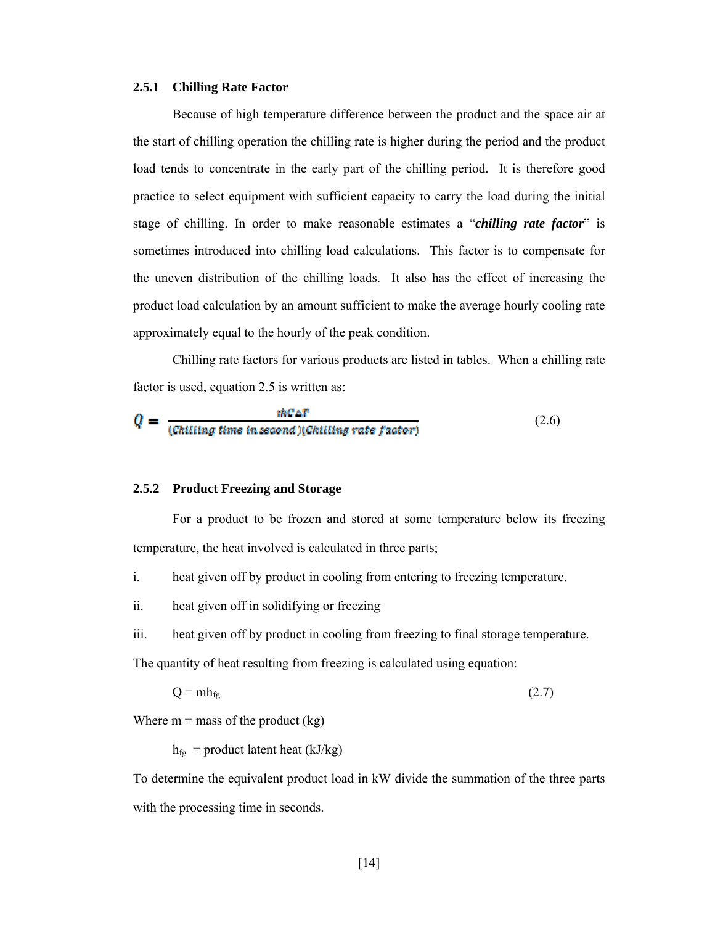#### **2.5.1 Chilling Rate Factor**

Because of high temperature difference between the product and the space air at the start of chilling operation the chilling rate is higher during the period and the product load tends to concentrate in the early part of the chilling period. It is therefore good practice to select equipment with sufficient capacity to carry the load during the initial stage of chilling. In order to make reasonable estimates a "*chilling rate factor*" is sometimes introduced into chilling load calculations. This factor is to compensate for the uneven distribution of the chilling loads. It also has the effect of increasing the product load calculation by an amount sufficient to make the average hourly cooling rate approximately equal to the hourly of the peak condition.

Chilling rate factors for various products are listed in tables. When a chilling rate factor is used, equation 2.5 is written as:

$$
Q = \frac{\text{inCAT}}{(\text{Chilling time in second})(\text{Chilling rate factor})}
$$
 (2.6)

#### **2.5.2 Product Freezing and Storage**

For a product to be frozen and stored at some temperature below its freezing temperature, the heat involved is calculated in three parts;

- i. heat given off by product in cooling from entering to freezing temperature.
- ii. heat given off in solidifying or freezing
- iii. heat given off by product in cooling from freezing to final storage temperature.

The quantity of heat resulting from freezing is calculated using equation:

$$
Q = m h_{fg} \tag{2.7}
$$

Where  $m =$  mass of the product  $(kg)$ 

 $h_{fg}$  = product latent heat (kJ/kg)

To determine the equivalent product load in kW divide the summation of the three parts with the processing time in seconds.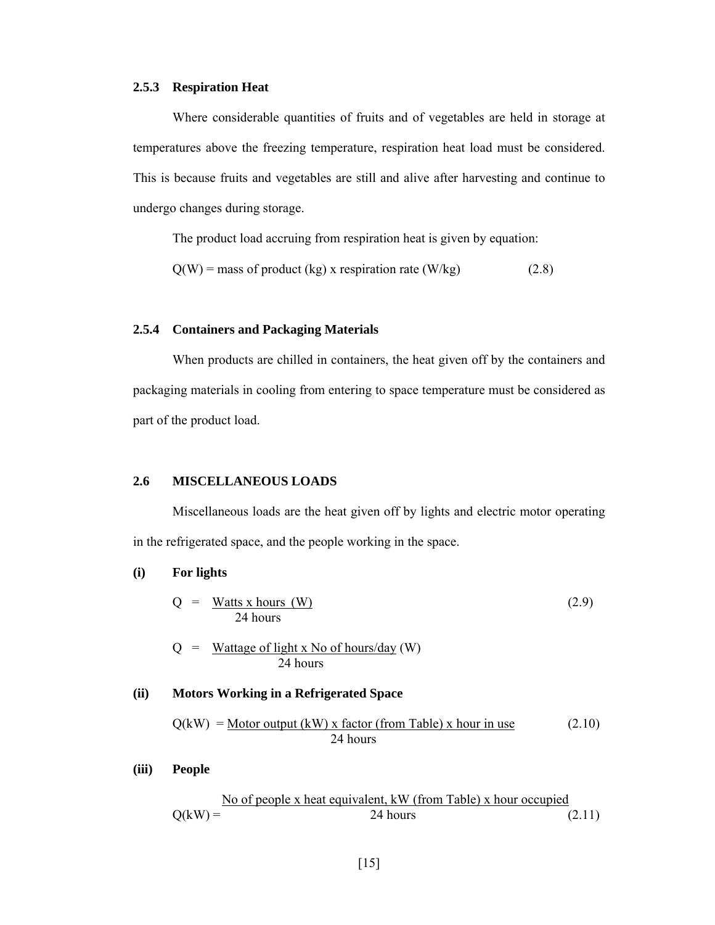#### **2.5.3 Respiration Heat**

Where considerable quantities of fruits and of vegetables are held in storage at temperatures above the freezing temperature, respiration heat load must be considered. This is because fruits and vegetables are still and alive after harvesting and continue to undergo changes during storage.

The product load accruing from respiration heat is given by equation:

 $Q(W)$  = mass of product (kg) x respiration rate (W/kg) (2.8)

## **2.5.4 Containers and Packaging Materials**

When products are chilled in containers, the heat given off by the containers and packaging materials in cooling from entering to space temperature must be considered as part of the product load.

## **2.6 MISCELLANEOUS LOADS**

Miscellaneous loads are the heat given off by lights and electric motor operating in the refrigerated space, and the people working in the space.

## **(i) For lights**

$$
Q = \frac{\text{Watts x hours (W)}}{24 \text{ hours}} \tag{2.9}
$$

$$
Q = \frac{\text{Wattage of light x No of hours/day (W)}}{24 \text{ hours}}
$$

## **(ii) Motors Working in a Refrigerated Space**

$$
Q(kW) = \underline{Motor \ output (kW) \ x \ factor (from Table) \ x \ hour \ in \ use} \tag{2.10}
$$
\n
$$
24 \ hours
$$

**(iii) People** 

$$
Q(kW) = \frac{No \text{ of people x heat equivalent, kW (from Table) x hour occupied}}{24 \text{ hours}} \tag{2.11}
$$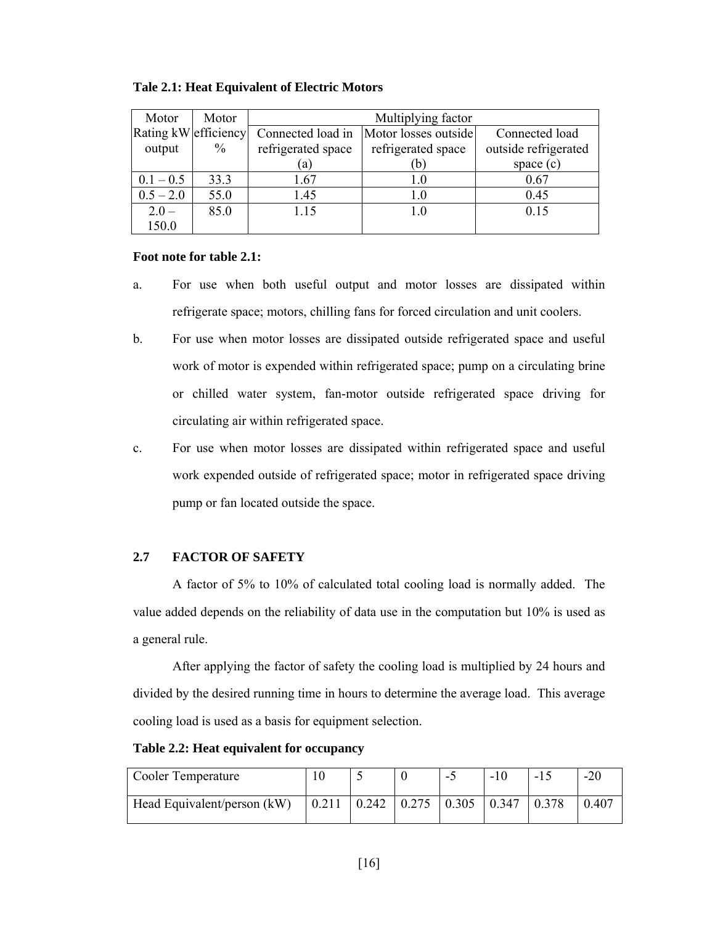| Motor                | Motor         | Multiplying factor |                      |                      |  |  |
|----------------------|---------------|--------------------|----------------------|----------------------|--|--|
| Rating kW efficiency |               | Connected load in  | Motor losses outside | Connected load       |  |  |
| output               | $\frac{0}{0}$ | refrigerated space | refrigerated space   | outside refrigerated |  |  |
|                      |               | (a)                | (b)                  | space $(c)$          |  |  |
| $0.1 - 0.5$          | 33.3          | 1.67               | $1.0\,$              | 0.67                 |  |  |
| $0.5 - 2.0$          | 55.0          | 1.45               | 1.0                  | 0.45                 |  |  |
| $2.0 -$              | 85.0          | 1.15               | 1.0                  | 0.15                 |  |  |
| 150.0                |               |                    |                      |                      |  |  |

#### **Tale 2.1: Heat Equivalent of Electric Motors**

## **Foot note for table 2.1:**

- a. For use when both useful output and motor losses are dissipated within refrigerate space; motors, chilling fans for forced circulation and unit coolers.
- b. For use when motor losses are dissipated outside refrigerated space and useful work of motor is expended within refrigerated space; pump on a circulating brine or chilled water system, fan-motor outside refrigerated space driving for circulating air within refrigerated space.
- c. For use when motor losses are dissipated within refrigerated space and useful work expended outside of refrigerated space; motor in refrigerated space driving pump or fan located outside the space.

## **2.7 FACTOR OF SAFETY**

A factor of 5% to 10% of calculated total cooling load is normally added. The value added depends on the reliability of data use in the computation but 10% is used as a general rule.

After applying the factor of safety the cooling load is multiplied by 24 hours and divided by the desired running time in hours to determine the average load. This average cooling load is used as a basis for equipment selection.

| Cooler Temperature          |  |                                                                                 | - | $-10$ | $-20$ |
|-----------------------------|--|---------------------------------------------------------------------------------|---|-------|-------|
| Head Equivalent/person (kW) |  | $\vert 0.211 \vert 0.242 \vert 0.275 \vert 0.305 \vert 0.347 \vert 0.378 \vert$ |   |       | 0.407 |

**Table 2.2: Heat equivalent for occupancy**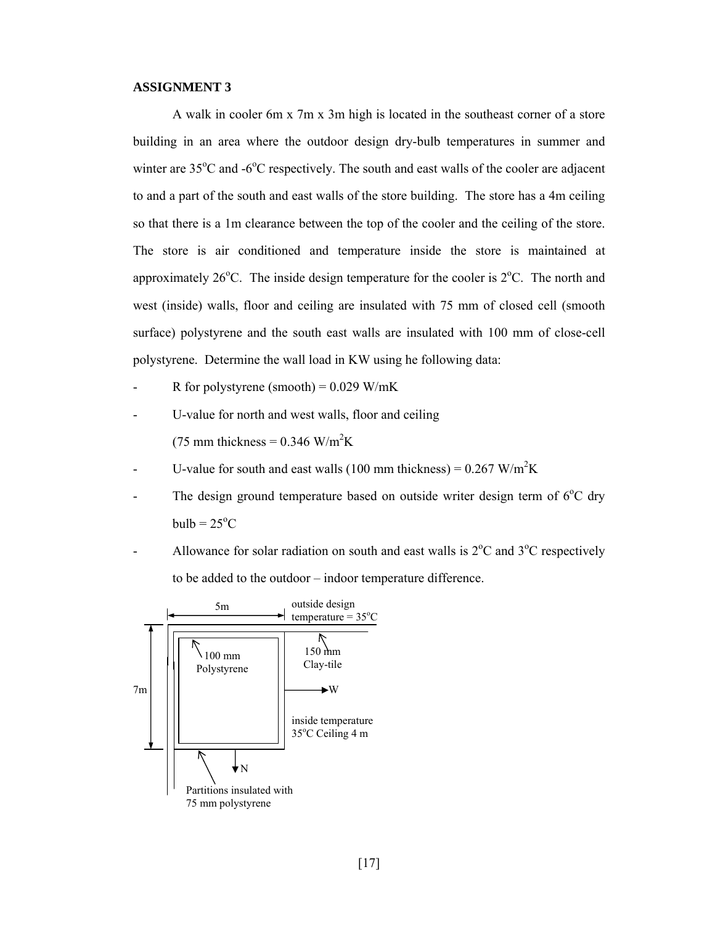#### **ASSIGNMENT 3**

A walk in cooler 6m x 7m x 3m high is located in the southeast corner of a store building in an area where the outdoor design dry-bulb temperatures in summer and winter are 35°C and -6°C respectively. The south and east walls of the cooler are adjacent to and a part of the south and east walls of the store building. The store has a 4m ceiling so that there is a 1m clearance between the top of the cooler and the ceiling of the store. The store is air conditioned and temperature inside the store is maintained at approximately  $26^{\circ}$ C. The inside design temperature for the cooler is  $2^{\circ}$ C. The north and west (inside) walls, floor and ceiling are insulated with 75 mm of closed cell (smooth surface) polystyrene and the south east walls are insulated with 100 mm of close-cell polystyrene. Determine the wall load in KW using he following data:

- R for polystyrene (smooth) =  $0.029$  W/mK
- U-value for north and west walls, floor and ceiling (75 mm thickness =  $0.346$  W/m<sup>2</sup>K
- U-value for south and east walls (100 mm thickness) =  $0.267 \text{ W/m}^2\text{K}$
- The design ground temperature based on outside writer design term of  $6^{\circ}$ C dry  $bulb = 25^{\circ}C$
- Allowance for solar radiation on south and east walls is  $2^{\circ}$ C and  $3^{\circ}$ C respectively to be added to the outdoor – indoor temperature difference.

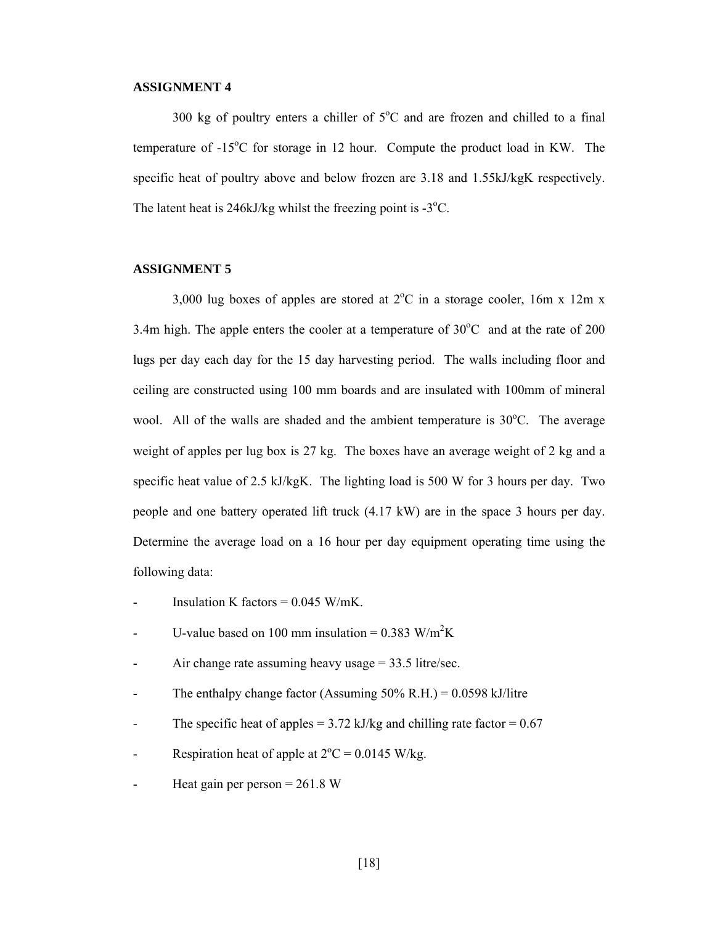#### **ASSIGNMENT 4**

300 kg of poultry enters a chiller of  $5^{\circ}$ C and are frozen and chilled to a final temperature of  $-15^{\circ}$ C for storage in 12 hour. Compute the product load in KW. The specific heat of poultry above and below frozen are 3.18 and 1.55kJ/kgK respectively. The latent heat is  $246kJ/kg$  whilst the freezing point is -3 $^{\circ}$ C.

## **ASSIGNMENT 5**

3,000 lug boxes of apples are stored at  $2^{\circ}$ C in a storage cooler, 16m x 12m x 3.4m high. The apple enters the cooler at a temperature of  $30^{\circ}$ C and at the rate of 200 lugs per day each day for the 15 day harvesting period. The walls including floor and ceiling are constructed using 100 mm boards and are insulated with 100mm of mineral wool. All of the walls are shaded and the ambient temperature is  $30^{\circ}$ C. The average weight of apples per lug box is 27 kg. The boxes have an average weight of 2 kg and a specific heat value of 2.5 kJ/kgK. The lighting load is 500 W for 3 hours per day. Two people and one battery operated lift truck (4.17 kW) are in the space 3 hours per day. Determine the average load on a 16 hour per day equipment operating time using the following data:

- Insulation K factors =  $0.045$  W/mK.
- U-value based on 100 mm insulation =  $0.383$  W/m<sup>2</sup>K
- Air change rate assuming heavy usage  $= 33.5$  litre/sec.
- The enthalpy change factor (Assuming  $50\%$  R.H.) = 0.0598 kJ/litre
- The specific heat of apples =  $3.72$  kJ/kg and chilling rate factor =  $0.67$
- Respiration heat of apple at  $2^{\circ}C = 0.0145$  W/kg.
- Heat gain per person  $= 261.8$  W

[18]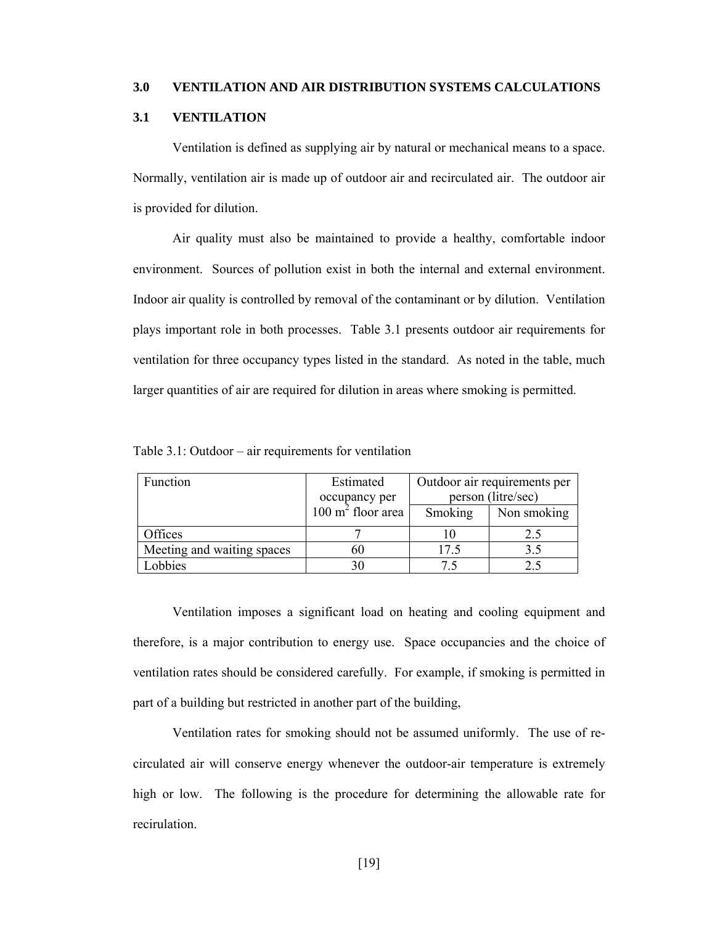#### **3.0 VENTILATION AND AIR DISTRIBUTION SYSTEMS CALCULATIONS**

## **3.1 VENTILATION**

Ventilation is defined as supplying air by natural or mechanical means to a space. Normally, ventilation air is made up of outdoor air and recirculated air. The outdoor air is provided for dilution.

Air quality must also be maintained to provide a healthy, comfortable indoor environment. Sources of pollution exist in both the internal and external environment. Indoor air quality is controlled by removal of the contaminant or by dilution. Ventilation plays important role in both processes. Table 3.1 presents outdoor air requirements for ventilation for three occupancy types listed in the standard. As noted in the table, much larger quantities of air are required for dilution in areas where smoking is permitted.

| Function                   | Estimated                    | Outdoor air requirements per |             |  |
|----------------------------|------------------------------|------------------------------|-------------|--|
|                            | occupancy per                | person (litre/sec)           |             |  |
|                            | $100 \text{ m}^2$ floor area | Smoking                      | Non smoking |  |
| Offices                    |                              |                              | 2.5         |  |
| Meeting and waiting spaces | 60                           | 17.5                         |             |  |
| Lobbies                    | 30                           |                              |             |  |

Table 3.1: Outdoor – air requirements for ventilation

Ventilation imposes a significant load on heating and cooling equipment and therefore, is a major contribution to energy use. Space occupancies and the choice of ventilation rates should be considered carefully. For example, if smoking is permitted in part of a building but restricted in another part of the building,

Ventilation rates for smoking should not be assumed uniformly. The use of recirculated air will conserve energy whenever the outdoor-air temperature is extremely high or low. The following is the procedure for determining the allowable rate for recirulation.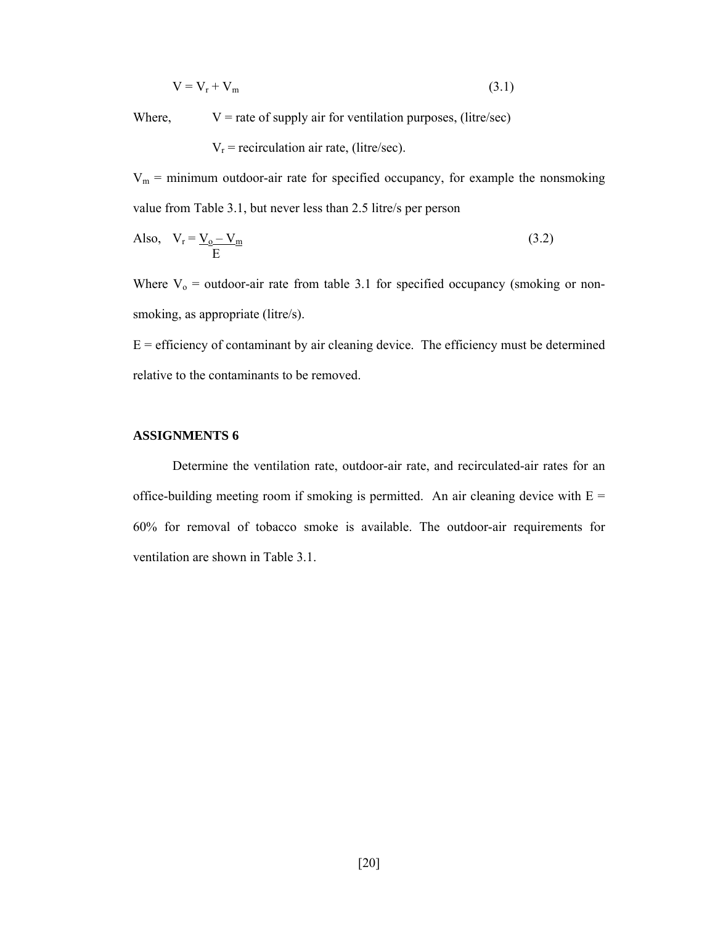$$
V = V_r + V_m \tag{3.1}
$$

Where,  $V =$  rate of supply air for ventilation purposes, (litre/sec)

 $V_r$  = recirculation air rate, (litre/sec).

 $V_m$  = minimum outdoor-air rate for specified occupancy, for example the nonsmoking value from Table 3.1, but never less than 2.5 litre/s per person

Also, 
$$
V_r = \underline{V_o - V_m}
$$
 (3.2)

Where  $V_0$  = outdoor-air rate from table 3.1 for specified occupancy (smoking or nonsmoking, as appropriate (litre/s).

 $E =$  efficiency of contaminant by air cleaning device. The efficiency must be determined relative to the contaminants to be removed.

#### **ASSIGNMENTS 6**

Determine the ventilation rate, outdoor-air rate, and recirculated-air rates for an office-building meeting room if smoking is permitted. An air cleaning device with  $E =$ 60% for removal of tobacco smoke is available. The outdoor-air requirements for ventilation are shown in Table 3.1.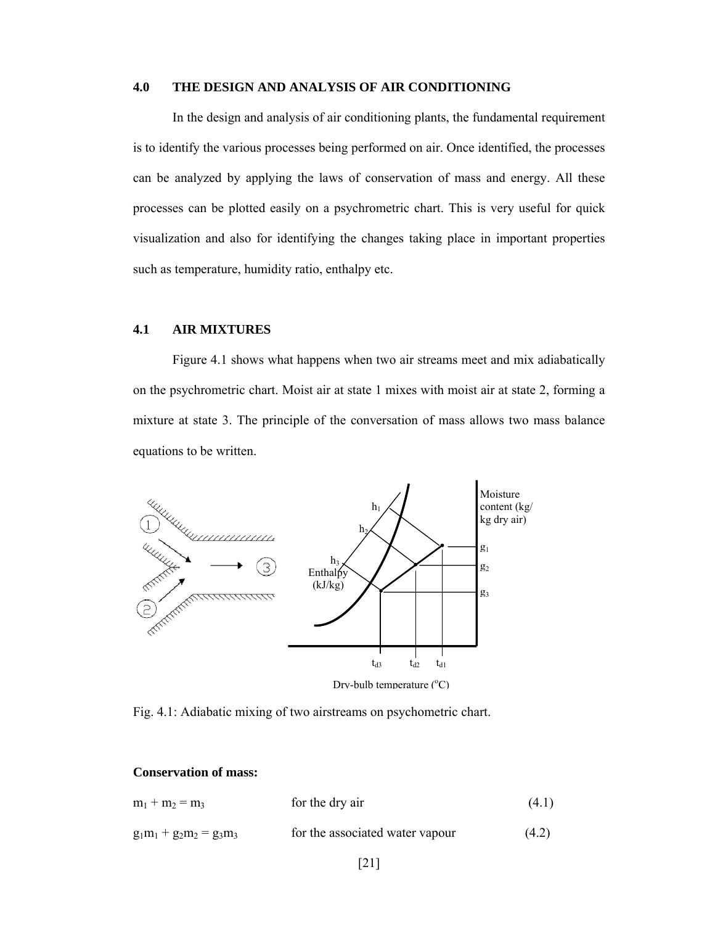## **4.0 THE DESIGN AND ANALYSIS OF AIR CONDITIONING**

In the design and analysis of air conditioning plants, the fundamental requirement is to identify the various processes being performed on air. Once identified, the processes can be analyzed by applying the laws of conservation of mass and energy. All these processes can be plotted easily on a psychrometric chart. This is very useful for quick visualization and also for identifying the changes taking place in important properties such as temperature, humidity ratio, enthalpy etc.

# **4.1 AIR MIXTURES**

Figure 4.1 shows what happens when two air streams meet and mix adiabatically on the psychrometric chart. Moist air at state 1 mixes with moist air at state 2, forming a mixture at state 3. The principle of the conversation of mass allows two mass balance equations to be written.



Fig. 4.1: Adiabatic mixing of two airstreams on psychometric chart.

#### **Conservation of mass:**

| $m_1 + m_2 = m_3$          | for the dry air                 | (4.1) |
|----------------------------|---------------------------------|-------|
| $g_1m_1 + g_2m_2 = g_3m_3$ | for the associated water vapour | (4.2) |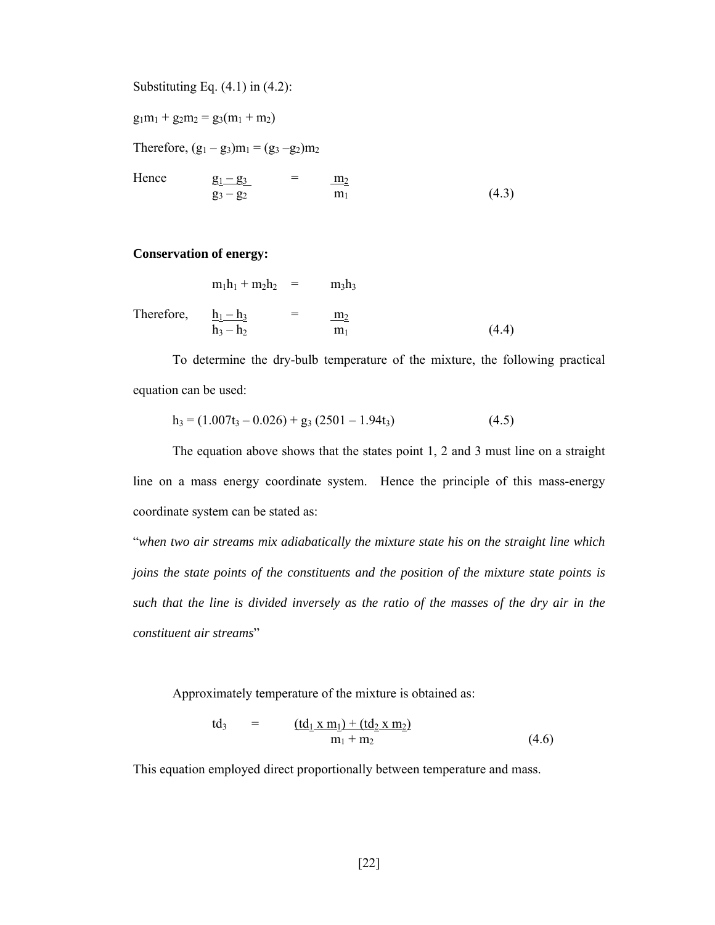Substituting Eq.  $(4.1)$  in  $(4.2)$ :

 $g_1m_1 + g_2m_2 = g_3(m_1 + m_2)$ 

Therefore,  $(g_1 - g_3)m_1 = (g_3 - g_2)m_2$ 

Hence  $g_1 - g_3 = \frac{m_2}{m_1}$  $g_3 - g_2$  m<sub>1</sub> (4.3)

## **Conservation of energy:**

 $m_1h_1 + m_2h_2 = m_3h_3$ Therefore,  $\underline{h_1 - h_3}$  =  $\underline{m_2}$  $h_3 - h_2$  m<sub>1</sub> (4.4)

To determine the dry-bulb temperature of the mixture, the following practical equation can be used:

$$
h_3 = (1.007t_3 - 0.026) + g_3 (2501 - 1.94t_3)
$$
\n(4.5)

The equation above shows that the states point 1, 2 and 3 must line on a straight line on a mass energy coordinate system. Hence the principle of this mass-energy coordinate system can be stated as:

"*when two air streams mix adiabatically the mixture state his on the straight line which joins the state points of the constituents and the position of the mixture state points is such that the line is divided inversely as the ratio of the masses of the dry air in the constituent air streams*"

Approximately temperature of the mixture is obtained as:

td<sub>3</sub> = 
$$
\frac{(td_1 x m_1) + (td_2 x m_2)}{m_1 + m_2}
$$
 (4.6)

This equation employed direct proportionally between temperature and mass.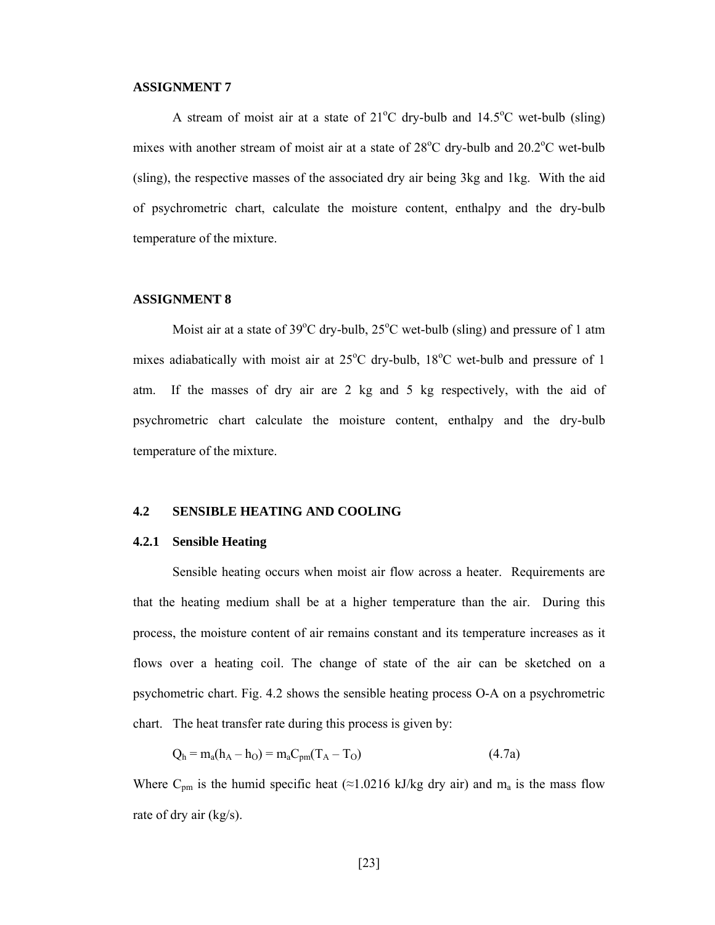#### **ASSIGNMENT 7**

A stream of moist air at a state of  $21^{\circ}$ C dry-bulb and  $14.5^{\circ}$ C wet-bulb (sling) mixes with another stream of moist air at a state of  $28^{\circ}$ C dry-bulb and  $20.2^{\circ}$ C wet-bulb (sling), the respective masses of the associated dry air being 3kg and 1kg. With the aid of psychrometric chart, calculate the moisture content, enthalpy and the dry-bulb temperature of the mixture.

#### **ASSIGNMENT 8**

Moist air at a state of  $39^{\circ}$ C dry-bulb,  $25^{\circ}$ C wet-bulb (sling) and pressure of 1 atm mixes adiabatically with moist air at  $25^{\circ}$ C dry-bulb,  $18^{\circ}$ C wet-bulb and pressure of 1 atm. If the masses of dry air are 2 kg and 5 kg respectively, with the aid of psychrometric chart calculate the moisture content, enthalpy and the dry-bulb temperature of the mixture.

#### **4.2 SENSIBLE HEATING AND COOLING**

#### **4.2.1 Sensible Heating**

Sensible heating occurs when moist air flow across a heater. Requirements are that the heating medium shall be at a higher temperature than the air. During this process, the moisture content of air remains constant and its temperature increases as it flows over a heating coil. The change of state of the air can be sketched on a psychometric chart. Fig. 4.2 shows the sensible heating process O-A on a psychrometric chart. The heat transfer rate during this process is given by:

$$
Q_h = m_a(h_A - h_O) = m_a C_{pm}(T_A - T_O)
$$
\n(4.7a)

Where C<sub>pm</sub> is the humid specific heat (≈1.0216 kJ/kg dry air) and m<sub>a</sub> is the mass flow rate of dry air (kg/s).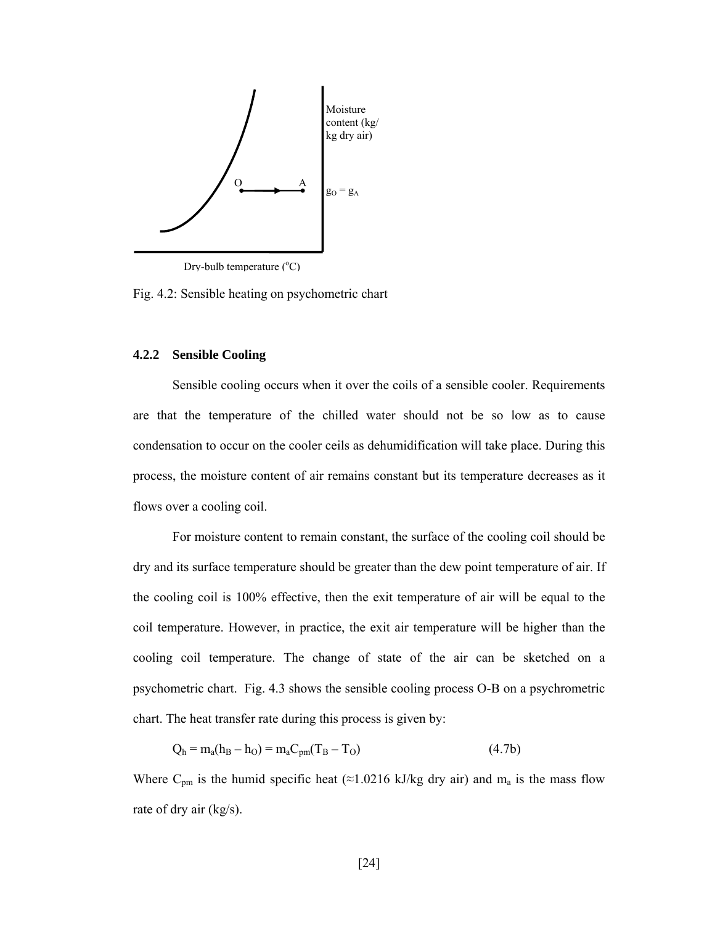

Drv-bulb temperature (°C)

Fig. 4.2: Sensible heating on psychometric chart

#### **4.2.2 Sensible Cooling**

Sensible cooling occurs when it over the coils of a sensible cooler. Requirements are that the temperature of the chilled water should not be so low as to cause condensation to occur on the cooler ceils as dehumidification will take place. During this process, the moisture content of air remains constant but its temperature decreases as it flows over a cooling coil.

For moisture content to remain constant, the surface of the cooling coil should be dry and its surface temperature should be greater than the dew point temperature of air. If the cooling coil is 100% effective, then the exit temperature of air will be equal to the coil temperature. However, in practice, the exit air temperature will be higher than the cooling coil temperature. The change of state of the air can be sketched on a psychometric chart. Fig. 4.3 shows the sensible cooling process O-B on a psychrometric chart. The heat transfer rate during this process is given by:

$$
Q_h = m_a(h_B - h_O) = m_a C_{pm}(T_B - T_O)
$$
\n(4.7b)

Where C<sub>pm</sub> is the humid specific heat (≈1.0216 kJ/kg dry air) and m<sub>a</sub> is the mass flow rate of dry air (kg/s).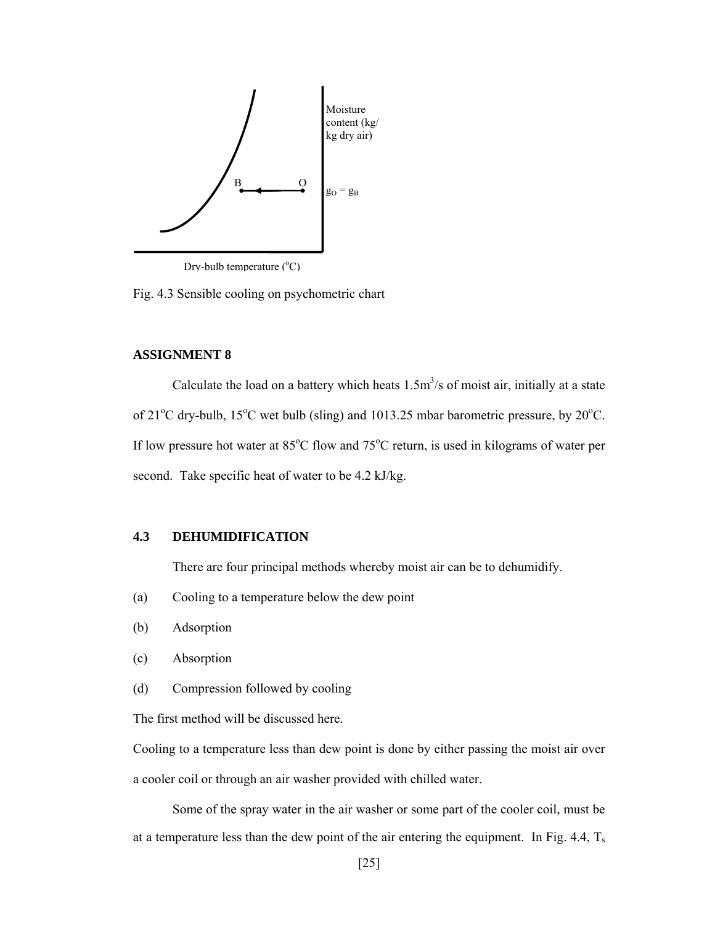

Drv-bulb temperature (°C)

Fig. 4.3 Sensible cooling on psychometric chart

## **ASSIGNMENT 8**

Calculate the load on a battery which heats  $1.5 \text{m}^3/\text{s}$  of moist air, initially at a state of  $21^{\circ}$ C dry-bulb,  $15^{\circ}$ C wet bulb (sling) and 1013.25 mbar barometric pressure, by  $20^{\circ}$ C. If low pressure hot water at 85°C flow and 75°C return, is used in kilograms of water per second. Take specific heat of water to be 4.2 kJ/kg.

## **4.3 DEHUMIDIFICATION**

There are four principal methods whereby moist air can be to dehumidify.

- (a) Cooling to a temperature below the dew point
- (b) Adsorption
- (c) Absorption
- (d) Compression followed by cooling

The first method will be discussed here.

Cooling to a temperature less than dew point is done by either passing the moist air over a cooler coil or through an air washer provided with chilled water.

Some of the spray water in the air washer or some part of the cooler coil, must be at a temperature less than the dew point of the air entering the equipment. In Fig. 4.4,  $T_s$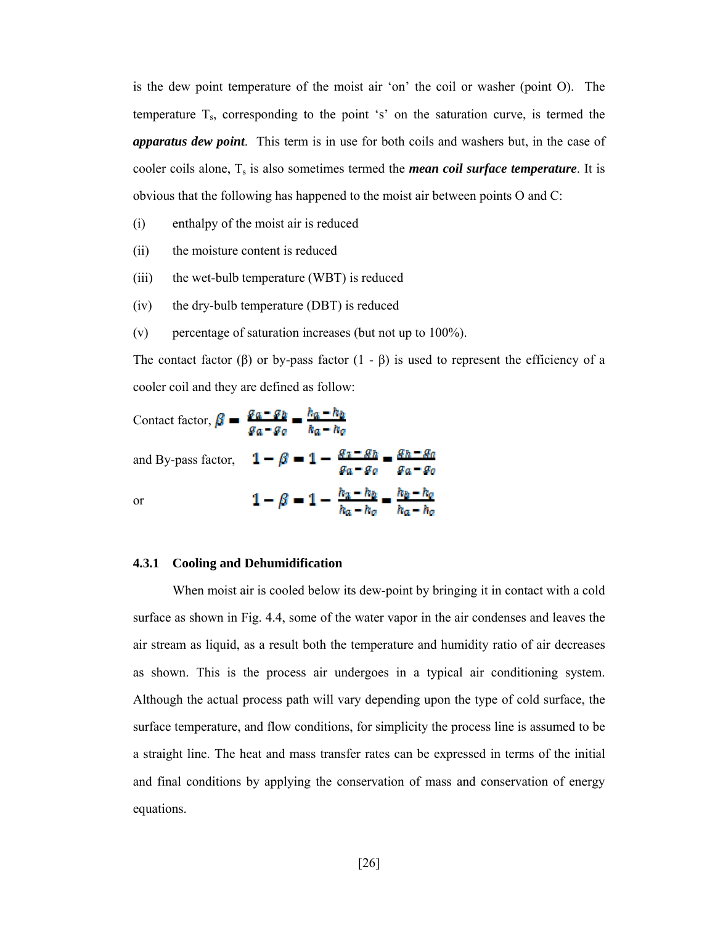is the dew point temperature of the moist air 'on' the coil or washer (point O). The temperature  $T_s$ , corresponding to the point 's' on the saturation curve, is termed the *apparatus dew point*. This term is in use for both coils and washers but, in the case of cooler coils alone,  $T_s$  is also sometimes termed the *mean coil surface temperature*. It is obvious that the following has happened to the moist air between points O and C:

- (i) enthalpy of the moist air is reduced
- (ii) the moisture content is reduced
- (iii) the wet-bulb temperature (WBT) is reduced
- (iv) the dry-bulb temperature (DBT) is reduced
- (v) percentage of saturation increases (but not up to 100%).

The contact factor (β) or by-pass factor  $(1 - \beta)$  is used to represent the efficiency of a cooler coil and they are defined as follow:

Contact factor,  $\beta = \frac{g_a - g_b}{g_a - g_o} = \frac{h_a - h_b}{h_a - h_o}$ and By-pass factor,  $1 - \beta = 1 - \frac{g_a - g_b}{g_a - g_a} = \frac{g_b - g_a}{g_a - g_a}$  $1-\beta=1-\frac{h_a-h_b}{h_a-h_a}=\frac{h_b-h_a}{h_a-h_a}$ or

## **4.3.1 Cooling and Dehumidification**

When moist air is cooled below its dew-point by bringing it in contact with a cold surface as shown in Fig. 4.4, some of the water vapor in the air condenses and leaves the air stream as liquid, as a result both the temperature and humidity ratio of air decreases as shown. This is the process air undergoes in a typical air conditioning system. Although the actual process path will vary depending upon the type of cold surface, the surface temperature, and flow conditions, for simplicity the process line is assumed to be a straight line. The heat and mass transfer rates can be expressed in terms of the initial and final conditions by applying the conservation of mass and conservation of energy equations.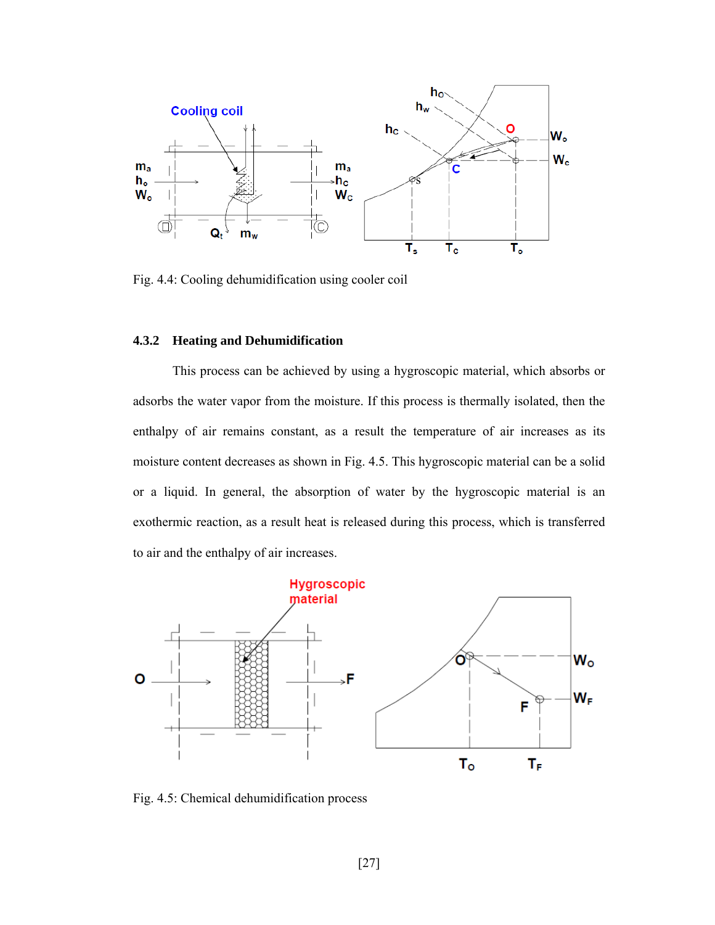

Fig. 4.4: Cooling dehumidification using cooler coil

# **4.3.2 Heating and Dehumidification**

This process can be achieved by using a hygroscopic material, which absorbs or adsorbs the water vapor from the moisture. If this process is thermally isolated, then the enthalpy of air remains constant, as a result the temperature of air increases as its moisture content decreases as shown in Fig. 4.5. This hygroscopic material can be a solid or a liquid. In general, the absorption of water by the hygroscopic material is an exothermic reaction, as a result heat is released during this process, which is transferred to air and the enthalpy of air increases.



Fig. 4.5: Chemical dehumidification process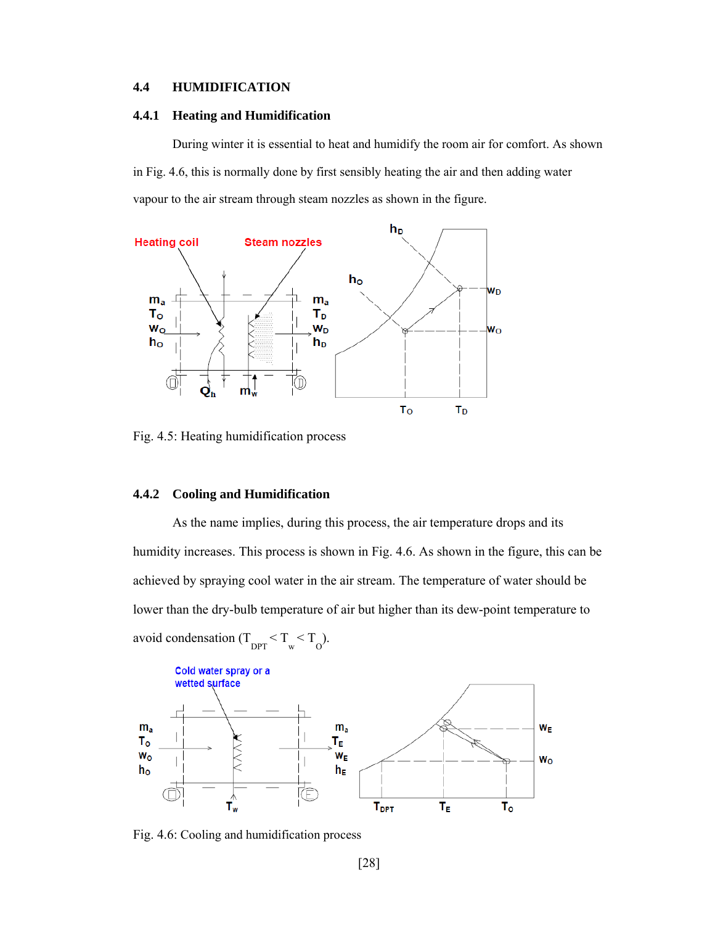## **4.4 HUMIDIFICATION**

#### **4.4.1 Heating and Humidification**

During winter it is essential to heat and humidify the room air for comfort. As shown in Fig. 4.6, this is normally done by first sensibly heating the air and then adding water vapour to the air stream through steam nozzles as shown in the figure.



Fig. 4.5: Heating humidification process

## **4.4.2 Cooling and Humidification**

As the name implies, during this process, the air temperature drops and its humidity increases. This process is shown in Fig. 4.6. As shown in the figure, this can be achieved by spraying cool water in the air stream. The temperature of water should be lower than the dry-bulb temperature of air but higher than its dew-point temperature to avoid condensation  $(T_{DPT} < T_w < T_{O})$ .



Fig. 4.6: Cooling and humidification process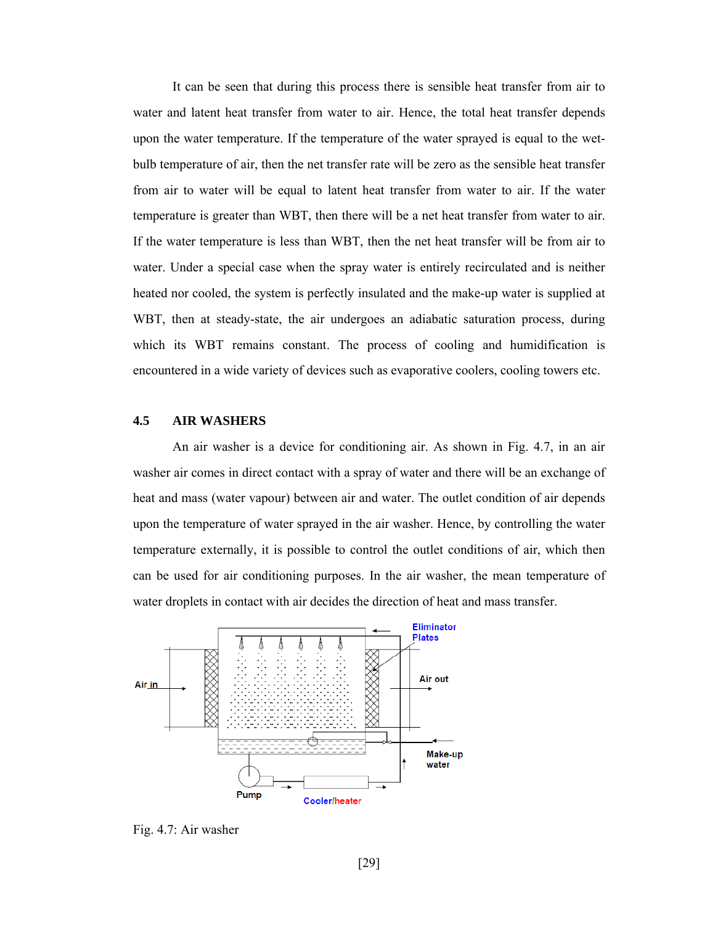It can be seen that during this process there is sensible heat transfer from air to water and latent heat transfer from water to air. Hence, the total heat transfer depends upon the water temperature. If the temperature of the water sprayed is equal to the wetbulb temperature of air, then the net transfer rate will be zero as the sensible heat transfer from air to water will be equal to latent heat transfer from water to air. If the water temperature is greater than WBT, then there will be a net heat transfer from water to air. If the water temperature is less than WBT, then the net heat transfer will be from air to water. Under a special case when the spray water is entirely recirculated and is neither heated nor cooled, the system is perfectly insulated and the make-up water is supplied at WBT, then at steady-state, the air undergoes an adiabatic saturation process, during which its WBT remains constant. The process of cooling and humidification is encountered in a wide variety of devices such as evaporative coolers, cooling towers etc.

## **4.5 AIR WASHERS**

An air washer is a device for conditioning air. As shown in Fig. 4.7, in an air washer air comes in direct contact with a spray of water and there will be an exchange of heat and mass (water vapour) between air and water. The outlet condition of air depends upon the temperature of water sprayed in the air washer. Hence, by controlling the water temperature externally, it is possible to control the outlet conditions of air, which then can be used for air conditioning purposes. In the air washer, the mean temperature of water droplets in contact with air decides the direction of heat and mass transfer.



Fig. 4.7: Air washer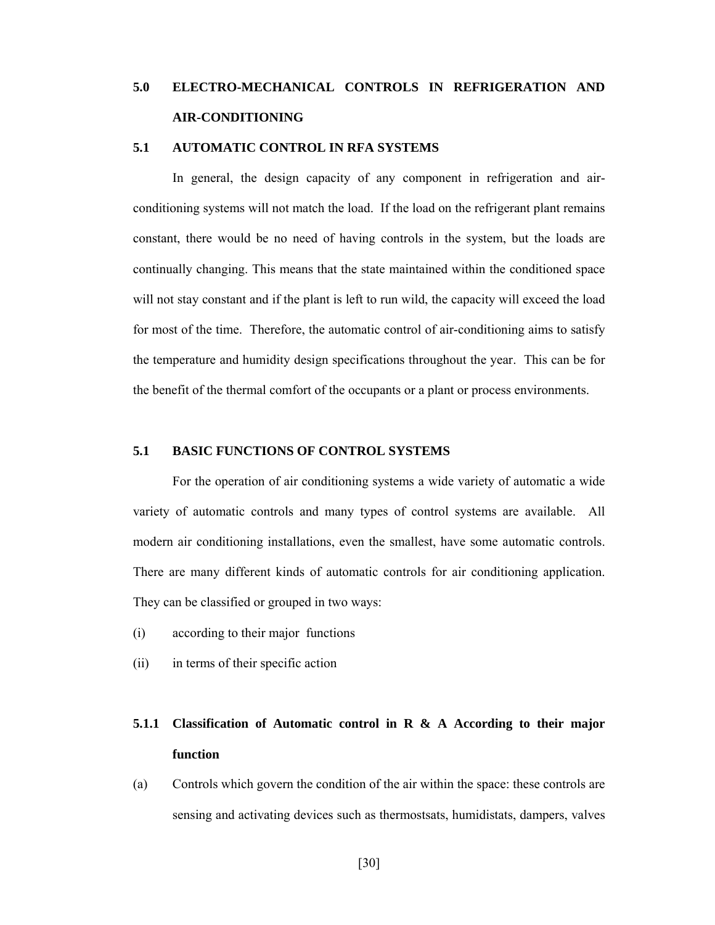# **5.0 ELECTRO-MECHANICAL CONTROLS IN REFRIGERATION AND AIR-CONDITIONING**

## **5.1 AUTOMATIC CONTROL IN RFA SYSTEMS**

In general, the design capacity of any component in refrigeration and airconditioning systems will not match the load. If the load on the refrigerant plant remains constant, there would be no need of having controls in the system, but the loads are continually changing. This means that the state maintained within the conditioned space will not stay constant and if the plant is left to run wild, the capacity will exceed the load for most of the time. Therefore, the automatic control of air-conditioning aims to satisfy the temperature and humidity design specifications throughout the year. This can be for the benefit of the thermal comfort of the occupants or a plant or process environments.

## **5.1 BASIC FUNCTIONS OF CONTROL SYSTEMS**

For the operation of air conditioning systems a wide variety of automatic a wide variety of automatic controls and many types of control systems are available. All modern air conditioning installations, even the smallest, have some automatic controls. There are many different kinds of automatic controls for air conditioning application. They can be classified or grouped in two ways:

- (i) according to their major functions
- (ii) in terms of their specific action

# **5.1.1 Classification of Automatic control in R & A According to their major function**

(a) Controls which govern the condition of the air within the space: these controls are sensing and activating devices such as thermostsats, humidistats, dampers, valves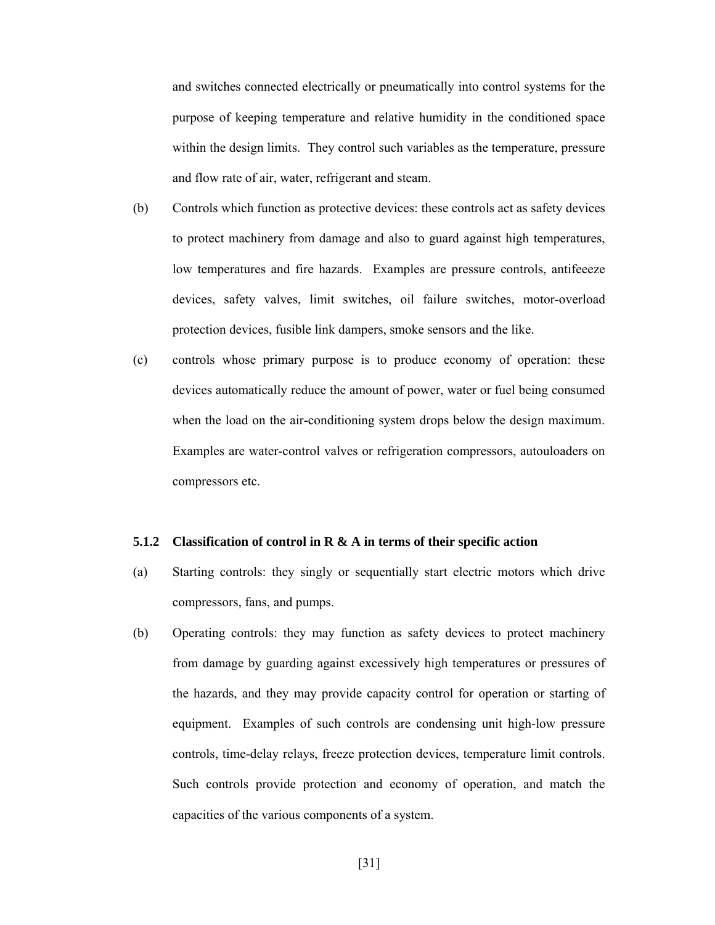and switches connected electrically or pneumatically into control systems for the purpose of keeping temperature and relative humidity in the conditioned space within the design limits. They control such variables as the temperature, pressure and flow rate of air, water, refrigerant and steam.

(b) Controls which function as protective devices: these controls act as safety devices to protect machinery from damage and also to guard against high temperatures, low temperatures and fire hazards. Examples are pressure controls, antifeeeze devices, safety valves, limit switches, oil failure switches, motor-overload protection devices, fusible link dampers, smoke sensors and the like.

(c) controls whose primary purpose is to produce economy of operation: these devices automatically reduce the amount of power, water or fuel being consumed when the load on the air-conditioning system drops below the design maximum. Examples are water-control valves or refrigeration compressors, autouloaders on compressors etc.

## **5.1.2 Classification of control in R & A in terms of their specific action**

- (a) Starting controls: they singly or sequentially start electric motors which drive compressors, fans, and pumps.
- (b) Operating controls: they may function as safety devices to protect machinery from damage by guarding against excessively high temperatures or pressures of the hazards, and they may provide capacity control for operation or starting of equipment. Examples of such controls are condensing unit high-low pressure controls, time-delay relays, freeze protection devices, temperature limit controls. Such controls provide protection and economy of operation, and match the capacities of the various components of a system.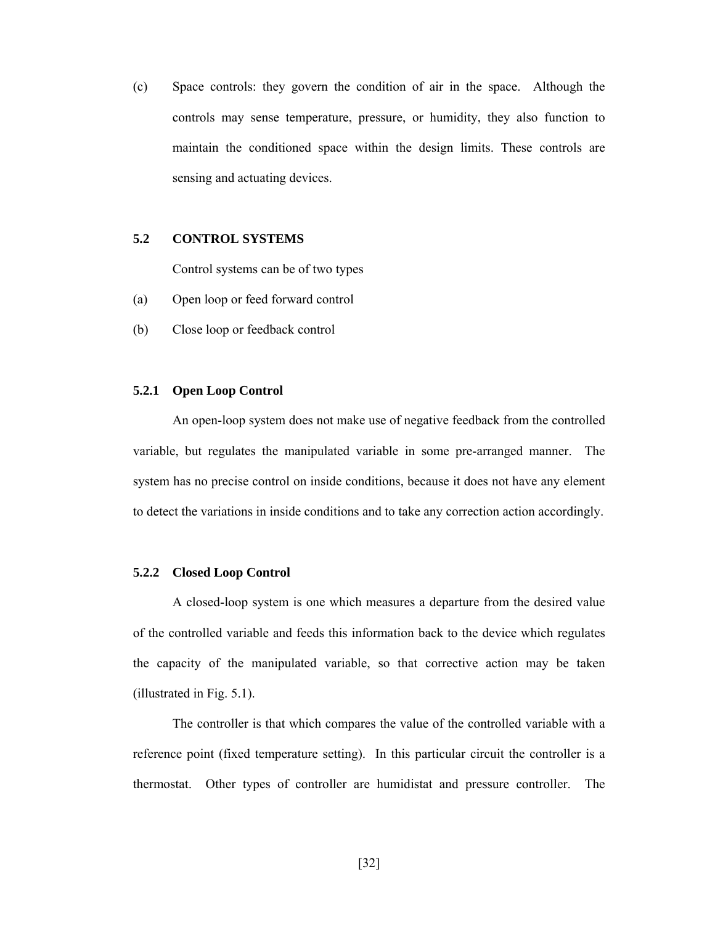(c) Space controls: they govern the condition of air in the space. Although the controls may sense temperature, pressure, or humidity, they also function to maintain the conditioned space within the design limits. These controls are sensing and actuating devices.

## **5.2 CONTROL SYSTEMS**

Control systems can be of two types

- (a) Open loop or feed forward control
- (b) Close loop or feedback control

#### **5.2.1 Open Loop Control**

 An open-loop system does not make use of negative feedback from the controlled variable, but regulates the manipulated variable in some pre-arranged manner. The system has no precise control on inside conditions, because it does not have any element to detect the variations in inside conditions and to take any correction action accordingly.

## **5.2.2 Closed Loop Control**

 A closed-loop system is one which measures a departure from the desired value of the controlled variable and feeds this information back to the device which regulates the capacity of the manipulated variable, so that corrective action may be taken (illustrated in Fig. 5.1).

The controller is that which compares the value of the controlled variable with a reference point (fixed temperature setting). In this particular circuit the controller is a thermostat. Other types of controller are humidistat and pressure controller. The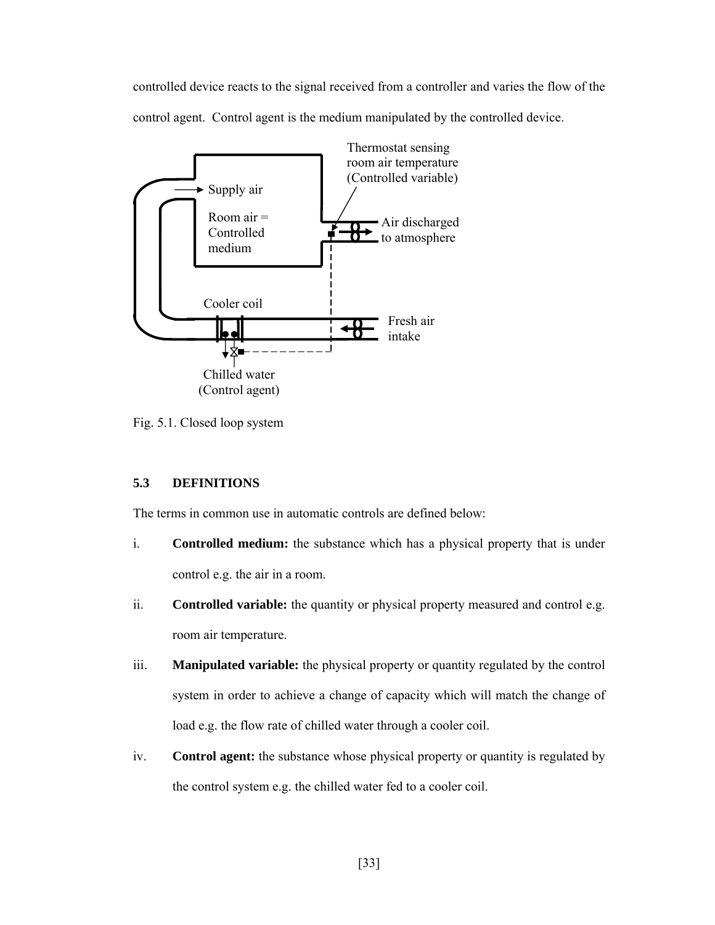controlled device reacts to the signal received from a controller and varies the flow of the control agent. Control agent is the medium manipulated by the controlled device.



Fig. 5.1. Closed loop system

# **5.3 DEFINITIONS**

The terms in common use in automatic controls are defined below:

- i. **Controlled medium:** the substance which has a physical property that is under control e.g. the air in a room.
- ii. **Controlled variable:** the quantity or physical property measured and control e.g. room air temperature.
- iii. **Manipulated variable:** the physical property or quantity regulated by the control system in order to achieve a change of capacity which will match the change of load e.g. the flow rate of chilled water through a cooler coil.
- iv. **Control agent:** the substance whose physical property or quantity is regulated by the control system e.g. the chilled water fed to a cooler coil.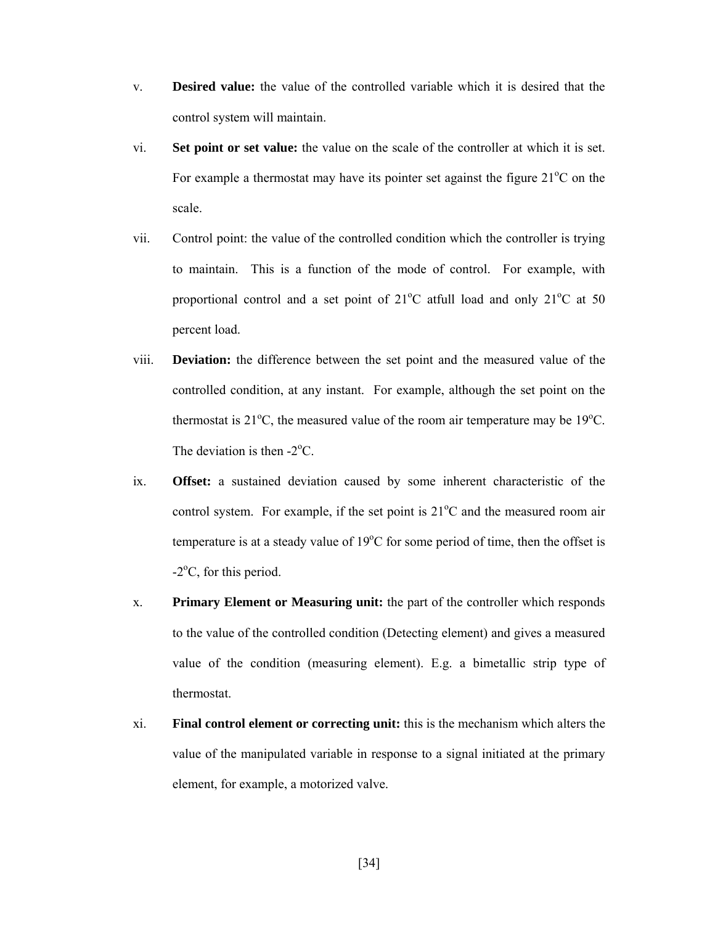- v. **Desired value:** the value of the controlled variable which it is desired that the control system will maintain.
- vi. **Set point or set value:** the value on the scale of the controller at which it is set. For example a thermostat may have its pointer set against the figure  $21^{\circ}$ C on the scale.
- vii. Control point: the value of the controlled condition which the controller is trying to maintain. This is a function of the mode of control. For example, with proportional control and a set point of  $21^{\circ}$ C at full load and only  $21^{\circ}$ C at 50 percent load.
- viii. **Deviation:** the difference between the set point and the measured value of the controlled condition, at any instant. For example, although the set point on the thermostat is  $21^{\circ}$ C, the measured value of the room air temperature may be  $19^{\circ}$ C. The deviation is then  $-2$ <sup>o</sup>C.
- ix. **Offset:** a sustained deviation caused by some inherent characteristic of the control system. For example, if the set point is  $21^{\circ}$ C and the measured room air temperature is at a steady value of  $19^{\circ}$ C for some period of time, then the offset is  $-2$ <sup>o</sup>C, for this period.
- x. **Primary Element or Measuring unit:** the part of the controller which responds to the value of the controlled condition (Detecting element) and gives a measured value of the condition (measuring element). E.g. a bimetallic strip type of thermostat.
- xi. **Final control element or correcting unit:** this is the mechanism which alters the value of the manipulated variable in response to a signal initiated at the primary element, for example, a motorized valve.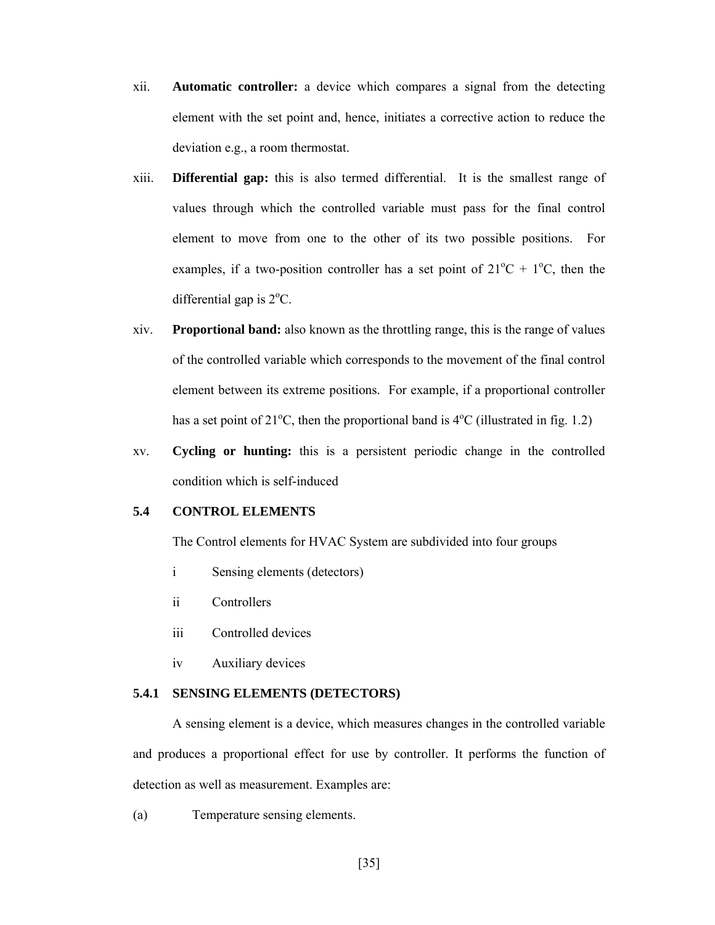- xii. **Automatic controller:** a device which compares a signal from the detecting element with the set point and, hence, initiates a corrective action to reduce the deviation e.g., a room thermostat.
- xiii. **Differential gap:** this is also termed differential. It is the smallest range of values through which the controlled variable must pass for the final control element to move from one to the other of its two possible positions. For examples, if a two-position controller has a set point of  $21^{\circ}C + 1^{\circ}C$ , then the differential gap is  $2^{\circ}$ C.
- xiv. **Proportional band:** also known as the throttling range, this is the range of values of the controlled variable which corresponds to the movement of the final control element between its extreme positions. For example, if a proportional controller has a set point of  $21^{\circ}$ C, then the proportional band is  $4^{\circ}$ C (illustrated in fig. 1.2)
- xv. **Cycling or hunting:** this is a persistent periodic change in the controlled condition which is self-induced

# **5.4 CONTROL ELEMENTS**

The Control elements for HVAC System are subdivided into four groups

- i Sensing elements (detectors)
- ii Controllers
- iii Controlled devices
- iv Auxiliary devices

## **5.4.1 SENSING ELEMENTS (DETECTORS)**

A sensing element is a device, which measures changes in the controlled variable and produces a proportional effect for use by controller. It performs the function of detection as well as measurement. Examples are:

(a) Temperature sensing elements.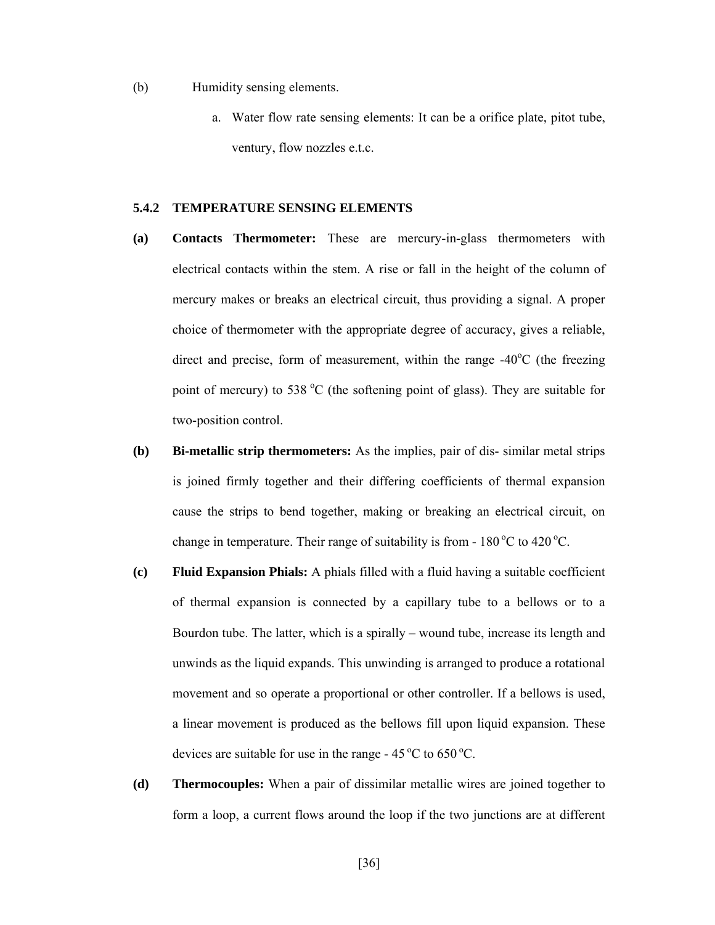(b) Humidity sensing elements.

a. Water flow rate sensing elements: It can be a orifice plate, pitot tube, ventury, flow nozzles e.t.c.

## **5.4.2 TEMPERATURE SENSING ELEMENTS**

- **(a) Contacts Thermometer:** These are mercury-in-glass thermometers with electrical contacts within the stem. A rise or fall in the height of the column of mercury makes or breaks an electrical circuit, thus providing a signal. A proper choice of thermometer with the appropriate degree of accuracy, gives a reliable, direct and precise, form of measurement, within the range  $-40^{\circ}$ C (the freezing point of mercury) to 538  $^{\circ}$ C (the softening point of glass). They are suitable for two-position control.
- **(b) Bi-metallic strip thermometers:** As the implies, pair of dis- similar metal strips is joined firmly together and their differing coefficients of thermal expansion cause the strips to bend together, making or breaking an electrical circuit, on change in temperature. Their range of suitability is from  $-180^{\circ}$ C to 420<sup>°</sup>C.
- **(c) Fluid Expansion Phials:** A phials filled with a fluid having a suitable coefficient of thermal expansion is connected by a capillary tube to a bellows or to a Bourdon tube. The latter, which is a spirally – wound tube, increase its length and unwinds as the liquid expands. This unwinding is arranged to produce a rotational movement and so operate a proportional or other controller. If a bellows is used, a linear movement is produced as the bellows fill upon liquid expansion. These devices are suitable for use in the range  $-45^{\circ}$ C to  $650^{\circ}$ C.
- **(d) Thermocouples:** When a pair of dissimilar metallic wires are joined together to form a loop, a current flows around the loop if the two junctions are at different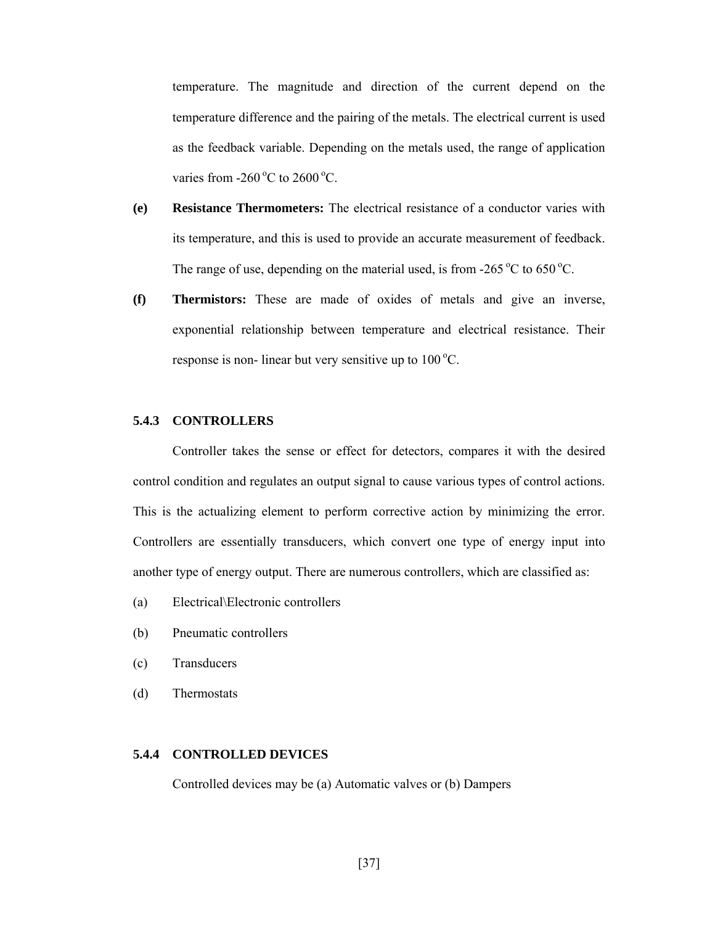temperature. The magnitude and direction of the current depend on the temperature difference and the pairing of the metals. The electrical current is used as the feedback variable. Depending on the metals used, the range of application varies from  $-260\degree$ C to  $2600\degree$ C.

- **(e) Resistance Thermometers:** The electrical resistance of a conductor varies with its temperature, and this is used to provide an accurate measurement of feedback. The range of use, depending on the material used, is from  $-265\,^{\circ}\text{C}$  to  $650\,^{\circ}\text{C}$ .
- **(f) Thermistors:** These are made of oxides of metals and give an inverse, exponential relationship between temperature and electrical resistance. Their response is non- linear but very sensitive up to  $100^{\circ}$ C.

## **5.4.3 CONTROLLERS**

Controller takes the sense or effect for detectors, compares it with the desired control condition and regulates an output signal to cause various types of control actions. This is the actualizing element to perform corrective action by minimizing the error. Controllers are essentially transducers, which convert one type of energy input into another type of energy output. There are numerous controllers, which are classified as:

- (a) Electrical\Electronic controllers
- (b) Pneumatic controllers
- (c) Transducers
- (d) Thermostats

## **5.4.4 CONTROLLED DEVICES**

Controlled devices may be (a) Automatic valves or (b) Dampers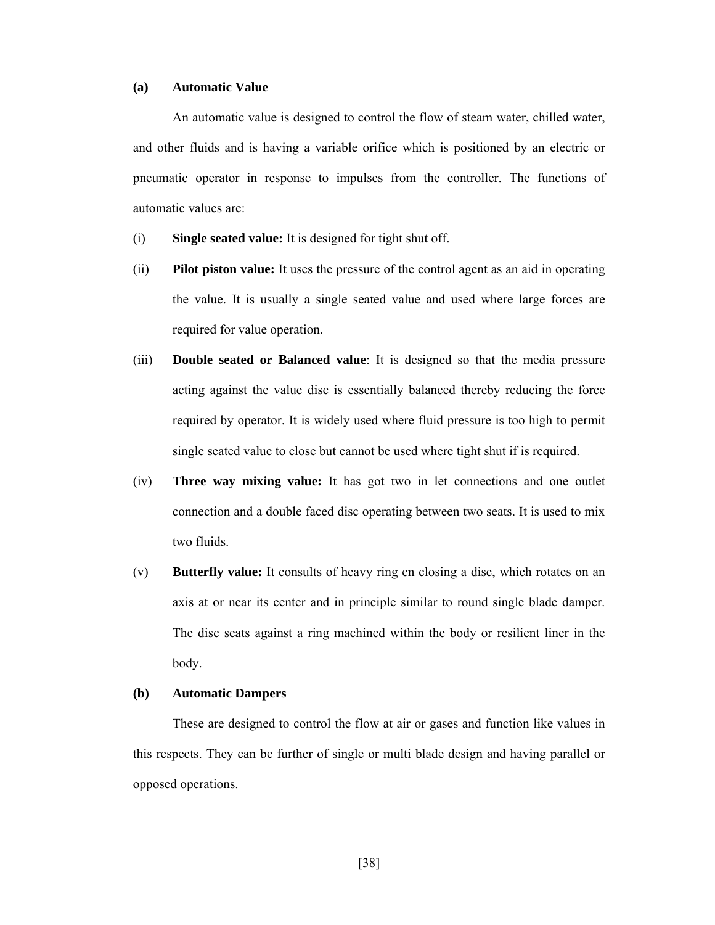#### **(a) Automatic Value**

An automatic value is designed to control the flow of steam water, chilled water, and other fluids and is having a variable orifice which is positioned by an electric or pneumatic operator in response to impulses from the controller. The functions of automatic values are:

- (i) **Single seated value:** It is designed for tight shut off.
- (ii) **Pilot piston value:** It uses the pressure of the control agent as an aid in operating the value. It is usually a single seated value and used where large forces are required for value operation.
- (iii) **Double seated or Balanced value**: It is designed so that the media pressure acting against the value disc is essentially balanced thereby reducing the force required by operator. It is widely used where fluid pressure is too high to permit single seated value to close but cannot be used where tight shut if is required.
- (iv) **Three way mixing value:** It has got two in let connections and one outlet connection and a double faced disc operating between two seats. It is used to mix two fluids.
- (v) **Butterfly value:** It consults of heavy ring en closing a disc, which rotates on an axis at or near its center and in principle similar to round single blade damper. The disc seats against a ring machined within the body or resilient liner in the body.

## **(b) Automatic Dampers**

These are designed to control the flow at air or gases and function like values in this respects. They can be further of single or multi blade design and having parallel or opposed operations.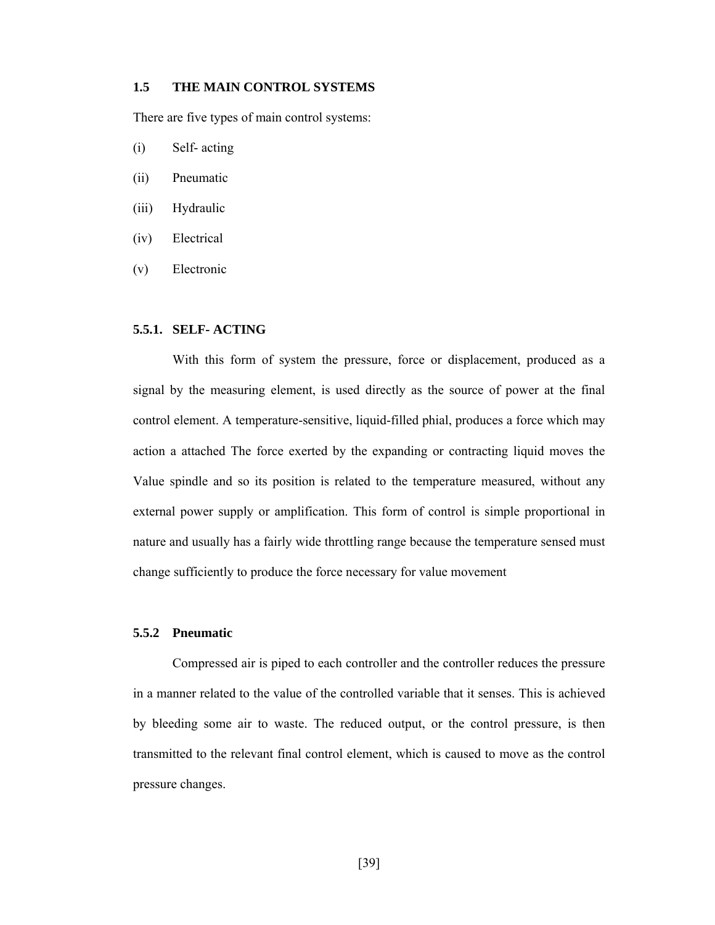## **1.5 THE MAIN CONTROL SYSTEMS**

There are five types of main control systems:

- (i) Self- acting
- (ii) Pneumatic
- (iii) Hydraulic
- (iv) Electrical
- (v) Electronic

# **5.5.1. SELF- ACTING**

With this form of system the pressure, force or displacement, produced as a signal by the measuring element, is used directly as the source of power at the final control element. A temperature-sensitive, liquid-filled phial, produces a force which may action a attached The force exerted by the expanding or contracting liquid moves the Value spindle and so its position is related to the temperature measured, without any external power supply or amplification. This form of control is simple proportional in nature and usually has a fairly wide throttling range because the temperature sensed must change sufficiently to produce the force necessary for value movement

#### **5.5.2 Pneumatic**

Compressed air is piped to each controller and the controller reduces the pressure in a manner related to the value of the controlled variable that it senses. This is achieved by bleeding some air to waste. The reduced output, or the control pressure, is then transmitted to the relevant final control element, which is caused to move as the control pressure changes.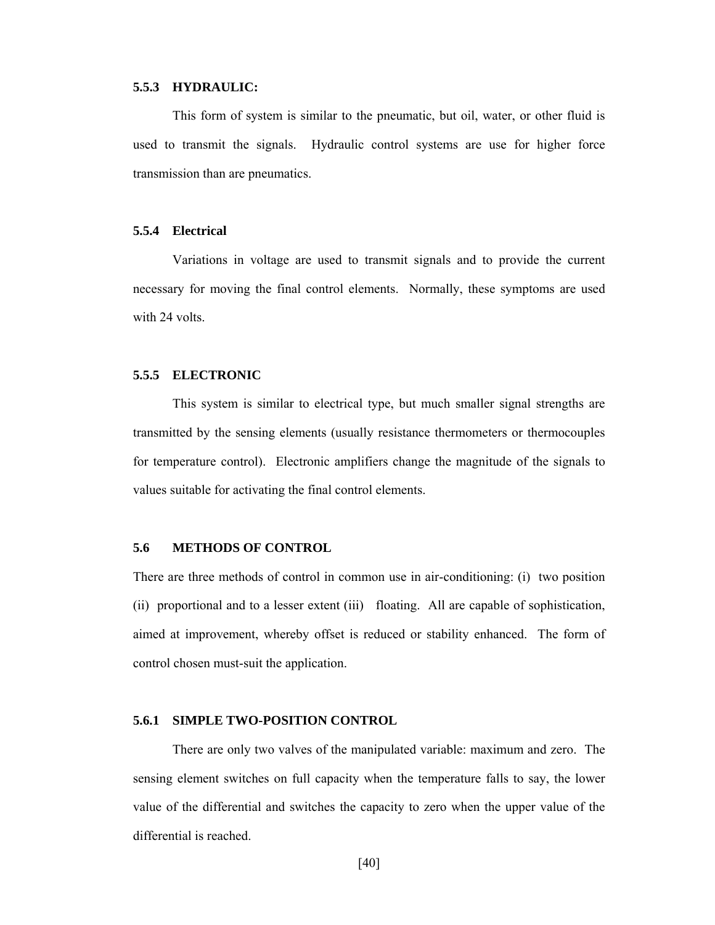#### **5.5.3 HYDRAULIC:**

This form of system is similar to the pneumatic, but oil, water, or other fluid is used to transmit the signals. Hydraulic control systems are use for higher force transmission than are pneumatics.

## **5.5.4 Electrical**

Variations in voltage are used to transmit signals and to provide the current necessary for moving the final control elements. Normally, these symptoms are used with 24 volts.

## **5.5.5 ELECTRONIC**

This system is similar to electrical type, but much smaller signal strengths are transmitted by the sensing elements (usually resistance thermometers or thermocouples for temperature control). Electronic amplifiers change the magnitude of the signals to values suitable for activating the final control elements.

## **5.6 METHODS OF CONTROL**

There are three methods of control in common use in air-conditioning: (i) two position (ii) proportional and to a lesser extent (iii) floating. All are capable of sophistication, aimed at improvement, whereby offset is reduced or stability enhanced. The form of control chosen must-suit the application.

## **5.6.1 SIMPLE TWO-POSITION CONTROL**

There are only two valves of the manipulated variable: maximum and zero. The sensing element switches on full capacity when the temperature falls to say, the lower value of the differential and switches the capacity to zero when the upper value of the differential is reached.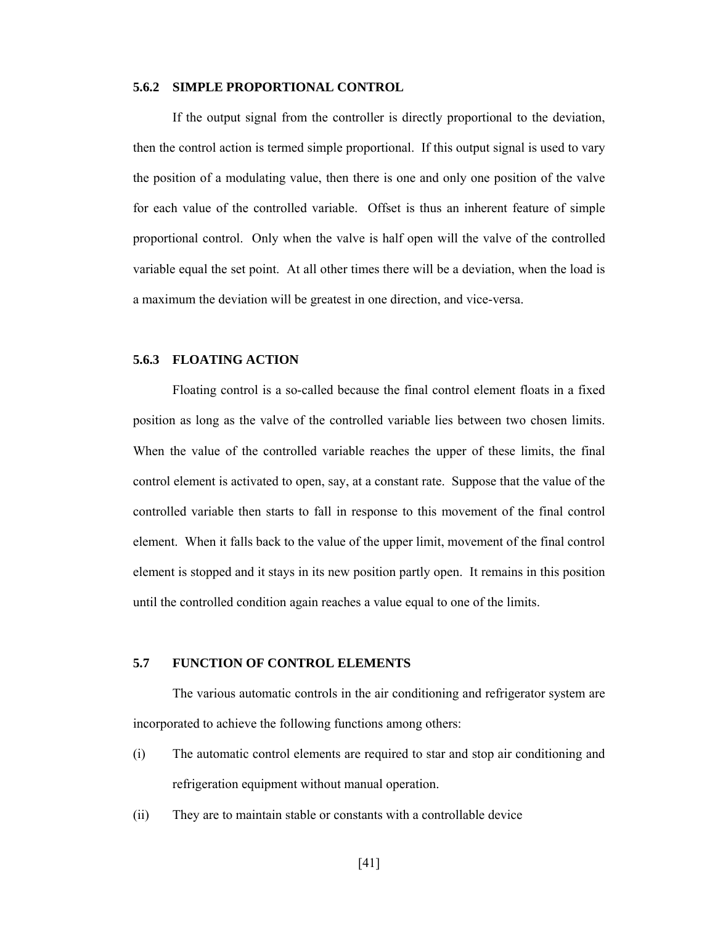#### **5.6.2 SIMPLE PROPORTIONAL CONTROL**

If the output signal from the controller is directly proportional to the deviation, then the control action is termed simple proportional. If this output signal is used to vary the position of a modulating value, then there is one and only one position of the valve for each value of the controlled variable. Offset is thus an inherent feature of simple proportional control. Only when the valve is half open will the valve of the controlled variable equal the set point. At all other times there will be a deviation, when the load is a maximum the deviation will be greatest in one direction, and vice-versa.

# **5.6.3 FLOATING ACTION**

Floating control is a so-called because the final control element floats in a fixed position as long as the valve of the controlled variable lies between two chosen limits. When the value of the controlled variable reaches the upper of these limits, the final control element is activated to open, say, at a constant rate. Suppose that the value of the controlled variable then starts to fall in response to this movement of the final control element. When it falls back to the value of the upper limit, movement of the final control element is stopped and it stays in its new position partly open. It remains in this position until the controlled condition again reaches a value equal to one of the limits.

## **5.7 FUNCTION OF CONTROL ELEMENTS**

The various automatic controls in the air conditioning and refrigerator system are incorporated to achieve the following functions among others:

- (i) The automatic control elements are required to star and stop air conditioning and refrigeration equipment without manual operation.
- (ii) They are to maintain stable or constants with a controllable device